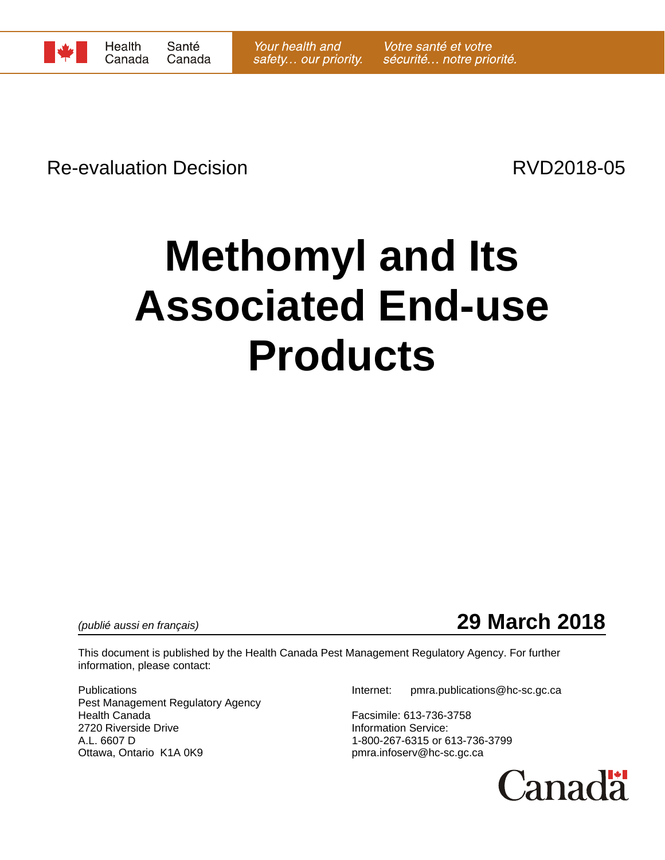

Re-evaluation Decision **Re-evaluation** Decision

# **Methomyl and Its Associated End-use Products**

*(publié aussi en français)* **29 March 2018**

This document is published by the Health Canada Pest Management Regulatory Agency. For further information, please contact:

Pest Management Regulatory Agency<br>Health Canada 2720 Riverside Drive **Information Service:** A.L. 6607 D<br>Ottawa, Ontario K1A 0K9 Delta extends to the proportional proportional proportional proportional problems of the<br>proportional proportional proportional proportional problems of the proportional proportional pro

Publications Internet: pmra.publications@hc-sc.gc.ca

Facsimile: 613-736-3758 pmra.infoserv@hc-sc.gc.ca

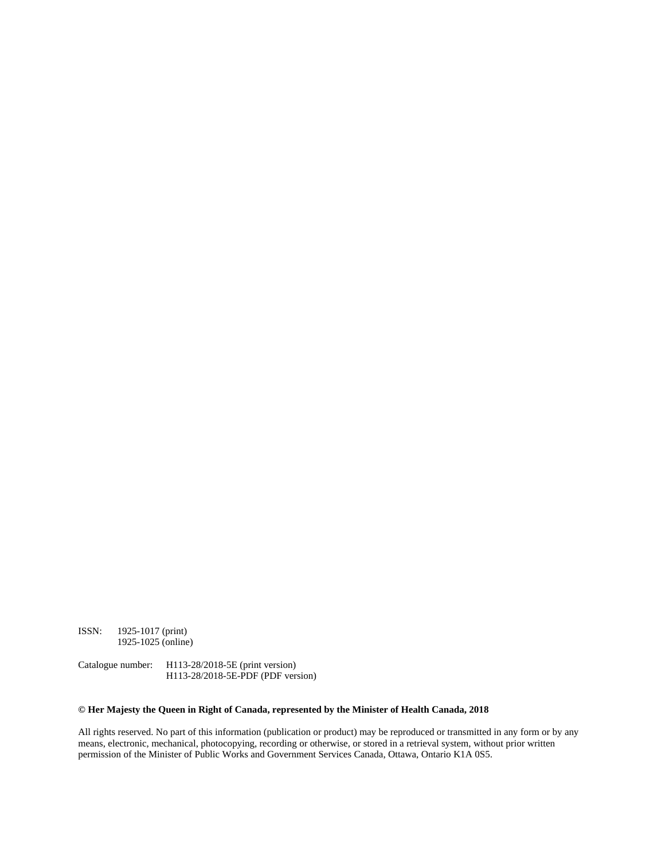ISSN: 1925-1017 (print) 1925-1025 (online)

Catalogue number: H113-28/2018-5E (print version) H113-28/2018-5E-PDF (PDF version)

#### **© Her Majesty the Queen in Right of Canada, represented by the Minister of Health Canada, 2018**

All rights reserved. No part of this information (publication or product) may be reproduced or transmitted in any form or by any means, electronic, mechanical, photocopying, recording or otherwise, or stored in a retrieval system, without prior written permission of the Minister of Public Works and Government Services Canada, Ottawa, Ontario K1A 0S5.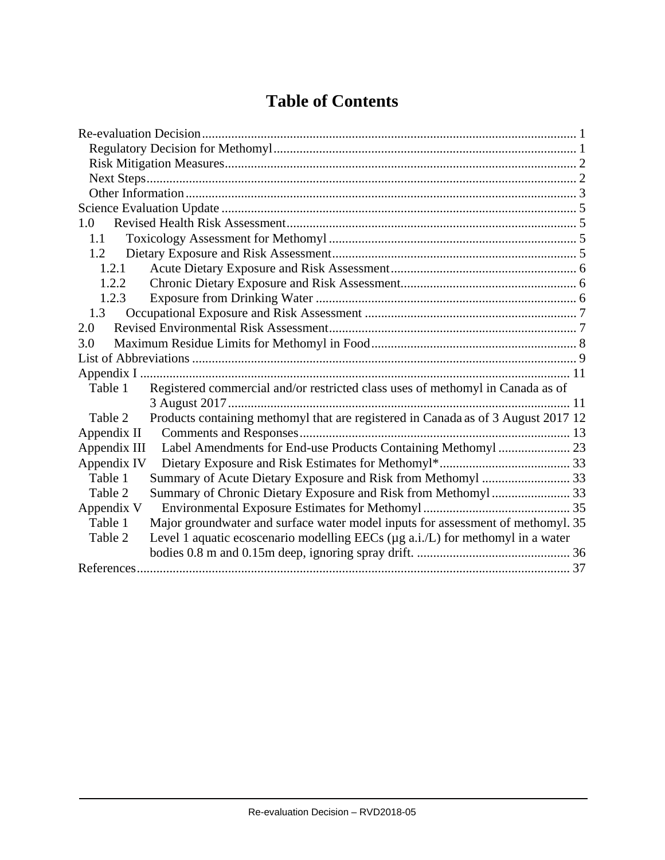# **Table of Contents**

| 1.0          |                                                                                   |  |
|--------------|-----------------------------------------------------------------------------------|--|
| 1.1          |                                                                                   |  |
| 1.2          |                                                                                   |  |
| 1.2.1        |                                                                                   |  |
| 1.2.2        |                                                                                   |  |
| 1.2.3        |                                                                                   |  |
| 1.3          |                                                                                   |  |
| 2.0          |                                                                                   |  |
| 3.0          |                                                                                   |  |
|              |                                                                                   |  |
|              |                                                                                   |  |
| Table 1      | Registered commercial and/or restricted class uses of methomyl in Canada as of    |  |
|              |                                                                                   |  |
| Table 2      | Products containing methomyl that are registered in Canada as of 3 August 2017 12 |  |
| Appendix II  |                                                                                   |  |
| Appendix III |                                                                                   |  |
| Appendix IV  |                                                                                   |  |
| Table 1      |                                                                                   |  |
| Table 2      |                                                                                   |  |
| Appendix V   |                                                                                   |  |
| Table 1      | Major groundwater and surface water model inputs for assessment of methomyl. 35   |  |
| Table 2      | Level 1 aquatic ecoscenario modelling EECs (µg a.i./L) for methomyl in a water    |  |
|              |                                                                                   |  |
|              |                                                                                   |  |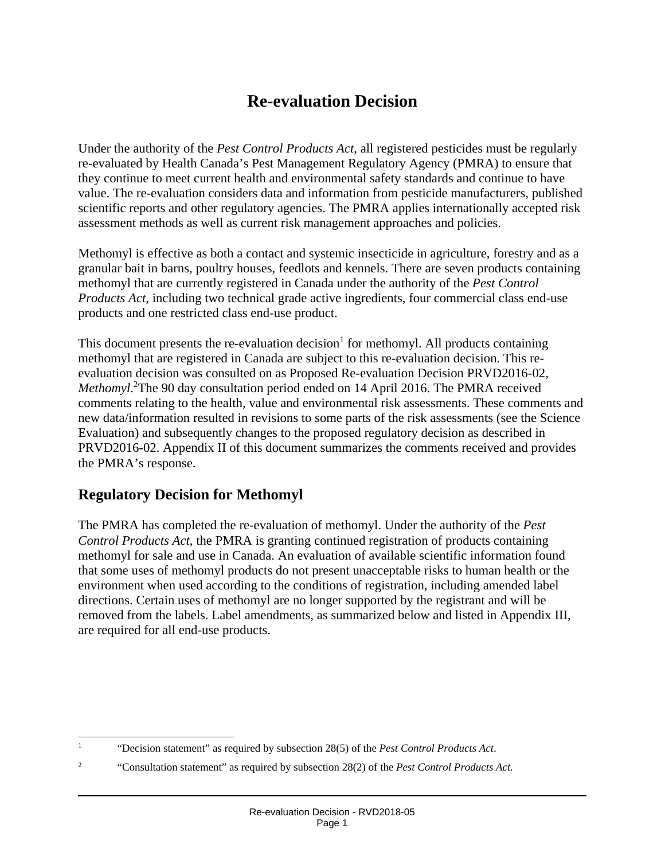# **Re-evaluation Decision**

Under the authority of the *Pest Control Products Act,* all registered pesticides must be regularly re-evaluated by Health Canada's Pest Management Regulatory Agency (PMRA) to ensure that they continue to meet current health and environmental safety standards and continue to have value. The re-evaluation considers data and information from pesticide manufacturers, published scientific reports and other regulatory agencies. The PMRA applies internationally accepted risk assessment methods as well as current risk management approaches and policies.

Methomyl is effective as both a contact and systemic insecticide in agriculture, forestry and as a granular bait in barns, poultry houses, feedlots and kennels. There are seven products containing methomyl that are currently registered in Canada under the authority of the *Pest Control Products Act*, including two technical grade active ingredients, four commercial class end-use products and one restricted class end-use product.

This document presents the re-evaluation decision<sup>[1](#page-3-0)</sup> for methomyl. All products containing methomyl that are registered in Canada are subject to this re-evaluation decision. This reevaluation decision was consulted on as Proposed Re-evaluation Decision PRVD2016-02, *Methomyl*. [2](#page-3-1) The 90 day consultation period ended on 14 April 2016. The PMRA received comments relating to the health, value and environmental risk assessments. These comments and new data/information resulted in revisions to some parts of the risk assessments (see the Science Evaluation) and subsequently changes to the proposed regulatory decision as described in PRVD2016-02. Appendix II of this document summarizes the comments received and provides the PMRA's response.

## **Regulatory Decision for Methomyl**

The PMRA has completed the re-evaluation of methomyl. Under the authority of the *Pest Control Products Act*, the PMRA is granting continued registration of products containing methomyl for sale and use in Canada. An evaluation of available scientific information found that some uses of methomyl products do not present unacceptable risks to human health or the environment when used according to the conditions of registration, including amended label directions. Certain uses of methomyl are no longer supported by the registrant and will be removed from the labels. Label amendments, as summarized below and listed in Appendix III, are required for all end-use products.

<span id="page-3-0"></span><sup>|&</sup>lt;br>|<br>| "Decision statement" as required by subsection 28(5) of the *Pest Control Products Act*.

<span id="page-3-1"></span><sup>2</sup> "Consultation statement" as required by subsection 28(2) of the *Pest Control Products Act.*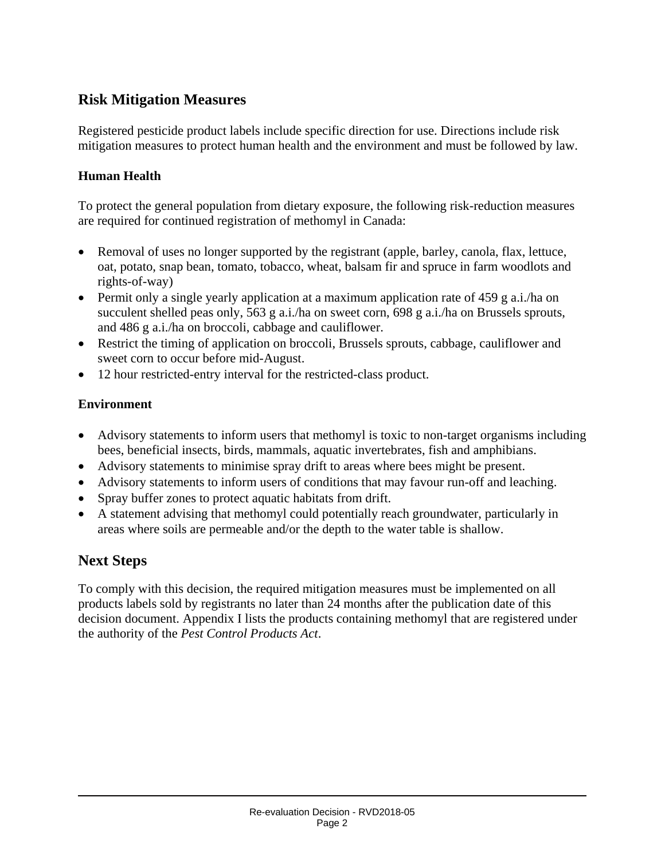## **Risk Mitigation Measures**

Registered pesticide product labels include specific direction for use. Directions include risk mitigation measures to protect human health and the environment and must be followed by law.

#### **Human Health**

To protect the general population from dietary exposure, the following risk-reduction measures are required for continued registration of methomyl in Canada:

- Removal of uses no longer supported by the registrant (apple, barley, canola, flax, lettuce, oat, potato, snap bean, tomato, tobacco, wheat, balsam fir and spruce in farm woodlots and rights-of-way)
- Permit only a single yearly application at a maximum application rate of 459 g a.i./ha on succulent shelled peas only, 563 g a.i./ha on sweet corn, 698 g a.i./ha on Brussels sprouts, and 486 g a.i./ha on broccoli, cabbage and cauliflower.
- Restrict the timing of application on broccoli, Brussels sprouts, cabbage, cauliflower and sweet corn to occur before mid-August.
- 12 hour restricted-entry interval for the restricted-class product.

#### **Environment**

- Advisory statements to inform users that methomyl is toxic to non-target organisms including bees, beneficial insects, birds, mammals, aquatic invertebrates, fish and amphibians.
- Advisory statements to minimise spray drift to areas where bees might be present.
- Advisory statements to inform users of conditions that may favour run-off and leaching.
- Spray buffer zones to protect aquatic habitats from drift.
- A statement advising that methomyl could potentially reach groundwater, particularly in areas where soils are permeable and/or the depth to the water table is shallow.

## **Next Steps**

To comply with this decision, the required mitigation measures must be implemented on all products labels sold by registrants no later than 24 months after the publication date of this decision document. Appendix I lists the products containing methomyl that are registered under the authority of the *Pest Control Products Act*.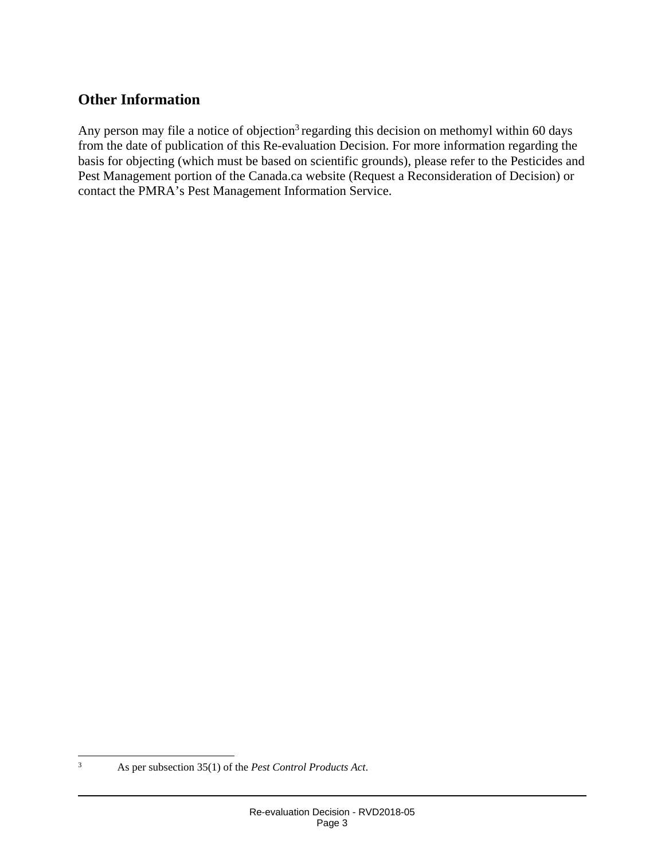## **Other Information**

Any person may file a notice of objection<sup>3</sup> regarding this decision on methomyl within 60 days from the date of publication of this Re-evaluation Decision. For more information regarding the basis for objecting (which must be based on scientific grounds), please refer to the Pesticides and Pest Management portion of the Canada.ca website (Request a Reconsideration of Decision) or contact the PMRA's Pest Management Information Service.

<span id="page-5-0"></span><sup>2</sup><br>3

As per subsection 35(1) of the *Pest Control Products Act*.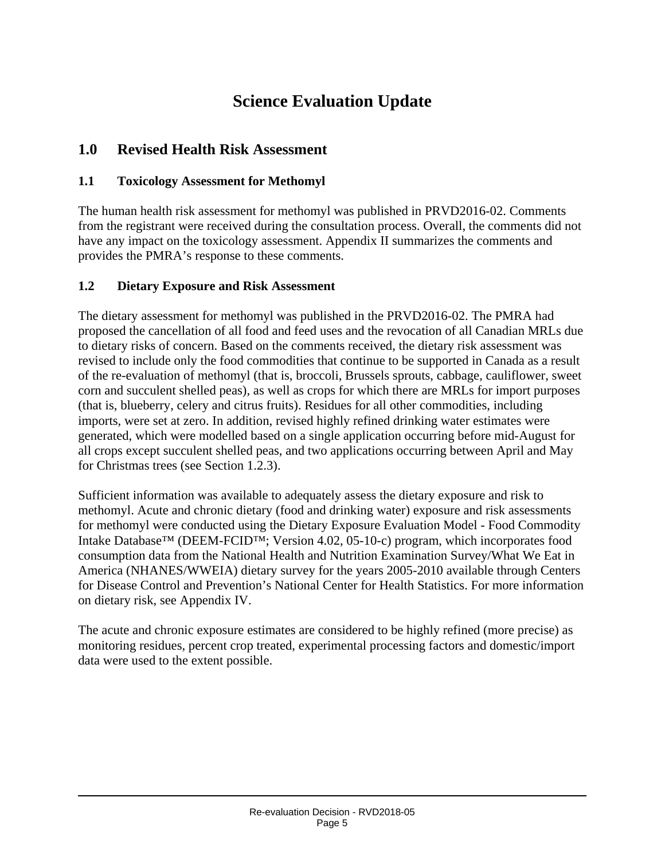# **Science Evaluation Update**

## **1.0 Revised Health Risk Assessment**

#### **1.1 Toxicology Assessment for Methomyl**

The human health risk assessment for methomyl was published in PRVD2016-02. Comments from the registrant were received during the consultation process. Overall, the comments did not have any impact on the toxicology assessment. Appendix II summarizes the comments and provides the PMRA's response to these comments.

#### **1.2 Dietary Exposure and Risk Assessment**

The dietary assessment for methomyl was published in the PRVD2016-02. The PMRA had proposed the cancellation of all food and feed uses and the revocation of all Canadian MRLs due to dietary risks of concern. Based on the comments received, the dietary risk assessment was revised to include only the food commodities that continue to be supported in Canada as a result of the re-evaluation of methomyl (that is, broccoli, Brussels sprouts, cabbage, cauliflower, sweet corn and succulent shelled peas), as well as crops for which there are MRLs for import purposes (that is, blueberry, celery and citrus fruits). Residues for all other commodities, including imports, were set at zero. In addition, revised highly refined drinking water estimates were generated, which were modelled based on a single application occurring before mid-August for all crops except succulent shelled peas, and two applications occurring between April and May for Christmas trees (see Section 1.2.3).

Sufficient information was available to adequately assess the dietary exposure and risk to methomyl. Acute and chronic dietary (food and drinking water) exposure and risk assessments for methomyl were conducted using the Dietary Exposure Evaluation Model - Food Commodity Intake Database™ (DEEM-FCID™; Version 4.02, 05-10-c) program, which incorporates food consumption data from the National Health and Nutrition Examination Survey/What We Eat in America (NHANES/WWEIA) dietary survey for the years 2005-2010 available through Centers for Disease Control and Prevention's National Center for Health Statistics. For more information on dietary risk, see Appendix IV.

The acute and chronic exposure estimates are considered to be highly refined (more precise) as monitoring residues, percent crop treated, experimental processing factors and domestic/import data were used to the extent possible.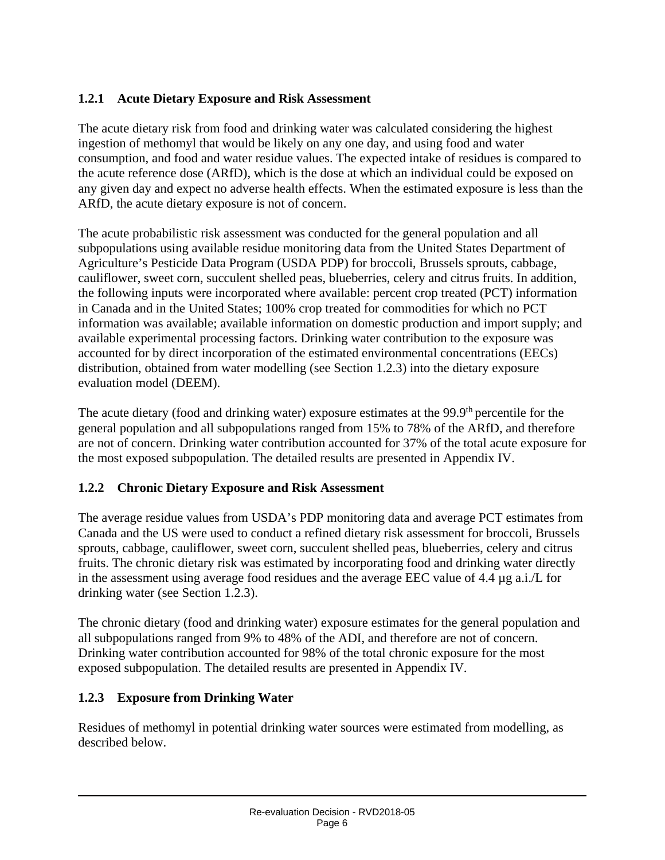## **1.2.1 Acute Dietary Exposure and Risk Assessment**

The acute dietary risk from food and drinking water was calculated considering the highest ingestion of methomyl that would be likely on any one day, and using food and water consumption, and food and water residue values. The expected intake of residues is compared to the acute reference dose (ARfD), which is the dose at which an individual could be exposed on any given day and expect no adverse health effects. When the estimated exposure is less than the ARfD, the acute dietary exposure is not of concern.

The acute probabilistic risk assessment was conducted for the general population and all subpopulations using available residue monitoring data from the United States Department of Agriculture's Pesticide Data Program (USDA PDP) for broccoli, Brussels sprouts, cabbage, cauliflower, sweet corn, succulent shelled peas, blueberries, celery and citrus fruits. In addition, the following inputs were incorporated where available: percent crop treated (PCT) information in Canada and in the United States; 100% crop treated for commodities for which no PCT information was available; available information on domestic production and import supply; and available experimental processing factors. Drinking water contribution to the exposure was accounted for by direct incorporation of the estimated environmental concentrations (EECs) distribution, obtained from water modelling (see Section 1.2.3) into the dietary exposure evaluation model (DEEM).

The acute dietary (food and drinking water) exposure estimates at the 99.9<sup>th</sup> percentile for the general population and all subpopulations ranged from 15% to 78% of the ARfD, and therefore are not of concern. Drinking water contribution accounted for 37% of the total acute exposure for the most exposed subpopulation. The detailed results are presented in Appendix IV.

#### **1.2.2 Chronic Dietary Exposure and Risk Assessment**

The average residue values from USDA's PDP monitoring data and average PCT estimates from Canada and the US were used to conduct a refined dietary risk assessment for broccoli, Brussels sprouts, cabbage, cauliflower, sweet corn, succulent shelled peas, blueberries, celery and citrus fruits. The chronic dietary risk was estimated by incorporating food and drinking water directly in the assessment using average food residues and the average EEC value of 4.4 µg a.i./L for drinking water (see Section 1.2.3).

The chronic dietary (food and drinking water) exposure estimates for the general population and all subpopulations ranged from 9% to 48% of the ADI, and therefore are not of concern. Drinking water contribution accounted for 98% of the total chronic exposure for the most exposed subpopulation. The detailed results are presented in Appendix IV.

#### **1.2.3 Exposure from Drinking Water**

Residues of methomyl in potential drinking water sources were estimated from modelling, as described below.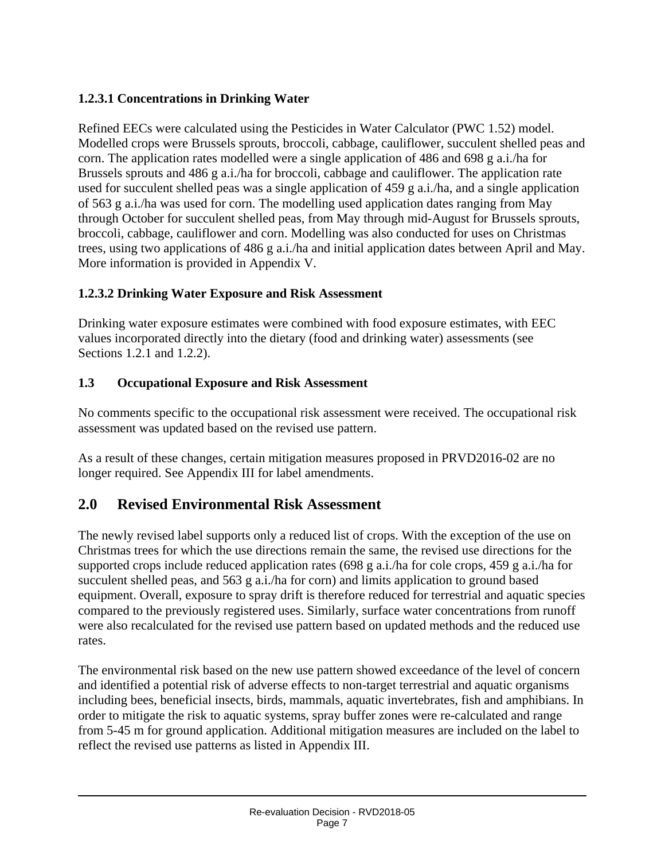## **1.2.3.1 Concentrations in Drinking Water**

Refined EECs were calculated using the Pesticides in Water Calculator (PWC 1.52) model. Modelled crops were Brussels sprouts, broccoli, cabbage, cauliflower, succulent shelled peas and corn. The application rates modelled were a single application of 486 and 698 g a.i./ha for Brussels sprouts and 486 g a.i./ha for broccoli, cabbage and cauliflower. The application rate used for succulent shelled peas was a single application of 459 g a.i./ha, and a single application of 563 g a.i./ha was used for corn. The modelling used application dates ranging from May through October for succulent shelled peas, from May through mid-August for Brussels sprouts, broccoli, cabbage, cauliflower and corn. Modelling was also conducted for uses on Christmas trees, using two applications of 486 g a.i./ha and initial application dates between April and May. More information is provided in Appendix V.

## **1.2.3.2 Drinking Water Exposure and Risk Assessment**

Drinking water exposure estimates were combined with food exposure estimates, with EEC values incorporated directly into the dietary (food and drinking water) assessments (see Sections 1.2.1 and 1.2.2).

#### **1.3 Occupational Exposure and Risk Assessment**

No comments specific to the occupational risk assessment were received. The occupational risk assessment was updated based on the revised use pattern.

As a result of these changes, certain mitigation measures proposed in PRVD2016-02 are no longer required. See Appendix III for label amendments.

## **2.0 Revised Environmental Risk Assessment**

The newly revised label supports only a reduced list of crops. With the exception of the use on Christmas trees for which the use directions remain the same, the revised use directions for the supported crops include reduced application rates (698 g a.i./ha for cole crops, 459 g a.i./ha for succulent shelled peas, and 563 g a.i./ha for corn) and limits application to ground based equipment. Overall, exposure to spray drift is therefore reduced for terrestrial and aquatic species compared to the previously registered uses. Similarly, surface water concentrations from runoff were also recalculated for the revised use pattern based on updated methods and the reduced use rates.

The environmental risk based on the new use pattern showed exceedance of the level of concern and identified a potential risk of adverse effects to non-target terrestrial and aquatic organisms including bees, beneficial insects, birds, mammals, aquatic invertebrates, fish and amphibians. In order to mitigate the risk to aquatic systems, spray buffer zones were re-calculated and range from 5-45 m for ground application. Additional mitigation measures are included on the label to reflect the revised use patterns as listed in Appendix III.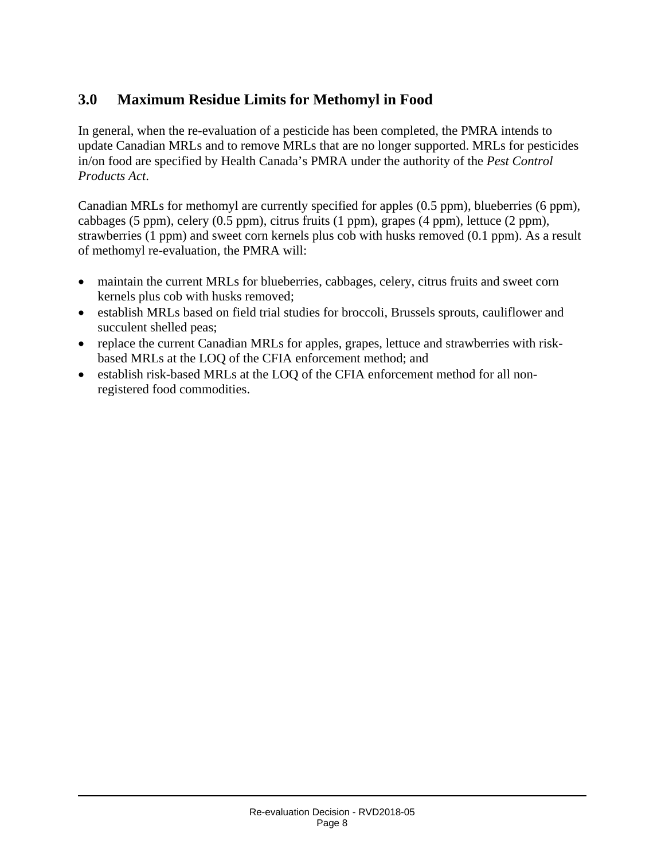## **3.0 Maximum Residue Limits for Methomyl in Food**

In general, when the re-evaluation of a pesticide has been completed, the PMRA intends to update Canadian MRLs and to remove MRLs that are no longer supported. MRLs for pesticides in/on food are specified by Health Canada's PMRA under the authority of the *Pest Control Products Act*.

Canadian MRLs for methomyl are currently specified for apples (0.5 ppm), blueberries (6 ppm), cabbages (5 ppm), celery (0.5 ppm), citrus fruits (1 ppm), grapes (4 ppm), lettuce (2 ppm), strawberries (1 ppm) and sweet corn kernels plus cob with husks removed (0.1 ppm). As a result of methomyl re-evaluation, the PMRA will:

- maintain the current MRLs for blueberries, cabbages, celery, citrus fruits and sweet corn kernels plus cob with husks removed;
- establish MRLs based on field trial studies for broccoli, Brussels sprouts, cauliflower and succulent shelled peas;
- replace the current Canadian MRLs for apples, grapes, lettuce and strawberries with riskbased MRLs at the LOQ of the CFIA enforcement method; and
- establish risk-based MRLs at the LOQ of the CFIA enforcement method for all nonregistered food commodities.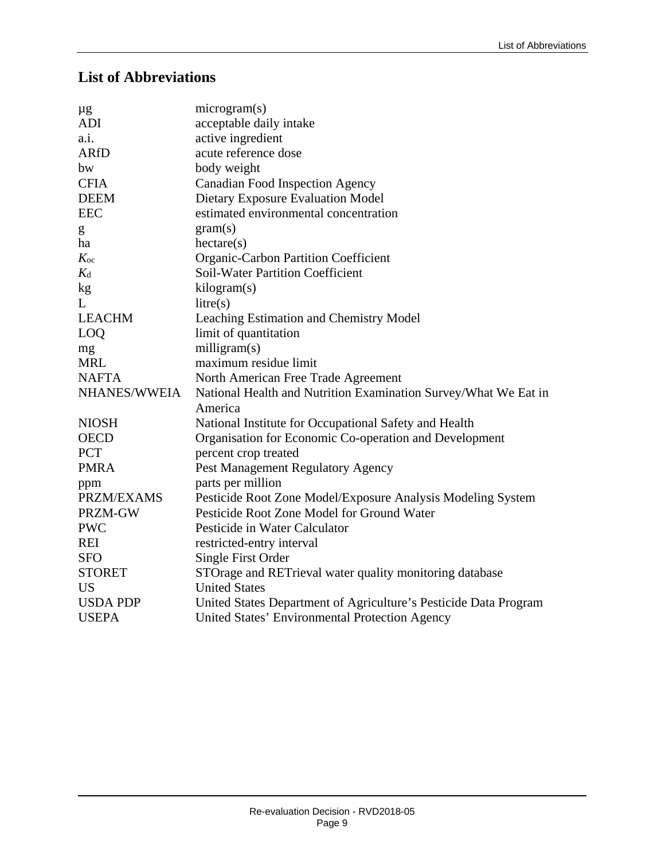## **List of Abbreviations**

| $\mu$ g           | microgram(s)                                                     |
|-------------------|------------------------------------------------------------------|
| <b>ADI</b>        | acceptable daily intake                                          |
| a.i.              | active ingredient                                                |
| <b>ARfD</b>       | acute reference dose                                             |
| bw                | body weight                                                      |
| <b>CFIA</b>       | <b>Canadian Food Inspection Agency</b>                           |
| <b>DEEM</b>       | Dietary Exposure Evaluation Model                                |
| <b>EEC</b>        | estimated environmental concentration                            |
| g                 | gram(s)                                                          |
| ha                | hectare(s)                                                       |
| $K_{oc}$          | Organic-Carbon Partition Coefficient                             |
| $K_{d}$           | <b>Soil-Water Partition Coefficient</b>                          |
| kg                | kilogram(s)                                                      |
| L                 | litre(s)                                                         |
| <b>LEACHM</b>     | Leaching Estimation and Chemistry Model                          |
| <b>LOQ</b>        | limit of quantitation                                            |
| mg                | milligram(s)                                                     |
| <b>MRL</b>        | maximum residue limit                                            |
| <b>NAFTA</b>      | North American Free Trade Agreement                              |
| NHANES/WWEIA      | National Health and Nutrition Examination Survey/What We Eat in  |
|                   | America                                                          |
| <b>NIOSH</b>      | National Institute for Occupational Safety and Health            |
| <b>OECD</b>       | Organisation for Economic Co-operation and Development           |
| <b>PCT</b>        | percent crop treated                                             |
| <b>PMRA</b>       | Pest Management Regulatory Agency                                |
| ppm               | parts per million                                                |
| <b>PRZM/EXAMS</b> | Pesticide Root Zone Model/Exposure Analysis Modeling System      |
| PRZM-GW           | Pesticide Root Zone Model for Ground Water                       |
| <b>PWC</b>        | Pesticide in Water Calculator                                    |
| <b>REI</b>        | restricted-entry interval                                        |
| <b>SFO</b>        | Single First Order                                               |
| <b>STORET</b>     | STOrage and RETrieval water quality monitoring database          |
| <b>US</b>         | <b>United States</b>                                             |
| <b>USDA PDP</b>   | United States Department of Agriculture's Pesticide Data Program |
| <b>USEPA</b>      | United States' Environmental Protection Agency                   |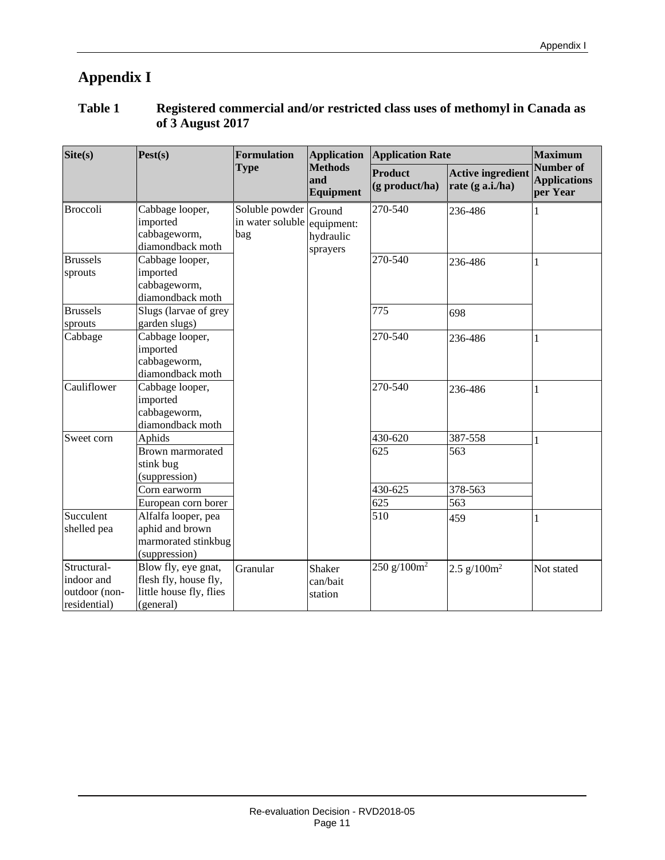# **Appendix I**

| <b>Table 1</b> | Registered commercial and/or restricted class uses of methomyl in Canada as |
|----------------|-----------------------------------------------------------------------------|
|                | of 3 August 2017                                                            |

| Site(s)                                                    | Pest(s)                                                                                         | Formulation<br><b>Application</b>                |                                     | <b>Application Rate</b>          | <b>Maximum</b>                               |                                              |
|------------------------------------------------------------|-------------------------------------------------------------------------------------------------|--------------------------------------------------|-------------------------------------|----------------------------------|----------------------------------------------|----------------------------------------------|
|                                                            |                                                                                                 | <b>Type</b>                                      | <b>Methods</b><br>and<br>Equipment  | Product<br>$(g$ product/ha)      | <b>Active ingredient</b><br>rate (g a.i./ha) | Number of<br><b>Applications</b><br>per Year |
| <b>Broccoli</b>                                            | Cabbage looper,<br>imported<br>cabbageworm,<br>diamondback moth                                 | Soluble powder Ground<br>in water soluble<br>bag | equipment:<br>hydraulic<br>sprayers | 270-540                          | 236-486                                      | 1                                            |
| <b>Brussels</b><br>sprouts                                 | Cabbage looper,<br>imported<br>cabbageworm,<br>diamondback moth                                 |                                                  |                                     | 270-540                          | 236-486                                      | 1                                            |
| <b>Brussels</b><br>sprouts                                 | Slugs (larvae of grey<br>garden slugs)                                                          |                                                  |                                     | 775                              | 698                                          |                                              |
| Cabbage                                                    | Cabbage looper,<br>imported<br>cabbageworm,<br>diamondback moth                                 |                                                  |                                     | 270-540                          | 236-486                                      | 1                                            |
| Cauliflower                                                | Cabbage looper,<br>imported<br>cabbageworm,<br>diamondback moth                                 |                                                  |                                     | 270-540                          | 236-486                                      | 1                                            |
| Sweet corn                                                 | Aphids<br>Brown marmorated<br>stink bug<br>(suppression)<br>Corn earworm<br>European corn borer |                                                  |                                     | 430-620<br>625<br>430-625<br>625 | 387-558<br>563<br>378-563<br>563             | 1                                            |
| Succulent<br>shelled pea                                   | Alfalfa looper, pea<br>aphid and brown<br>marmorated stinkbug<br>(suppression)                  |                                                  |                                     | 510                              | 459                                          | 1                                            |
| Structural-<br>indoor and<br>outdoor (non-<br>residential) | Blow fly, eye gnat,<br>flesh fly, house fly,<br>little house fly, flies<br>(general)            | Granular                                         | Shaker<br>can/bait<br>station       | 250 g/100 $m2$                   | 2.5 $g/100m^2$                               | Not stated                                   |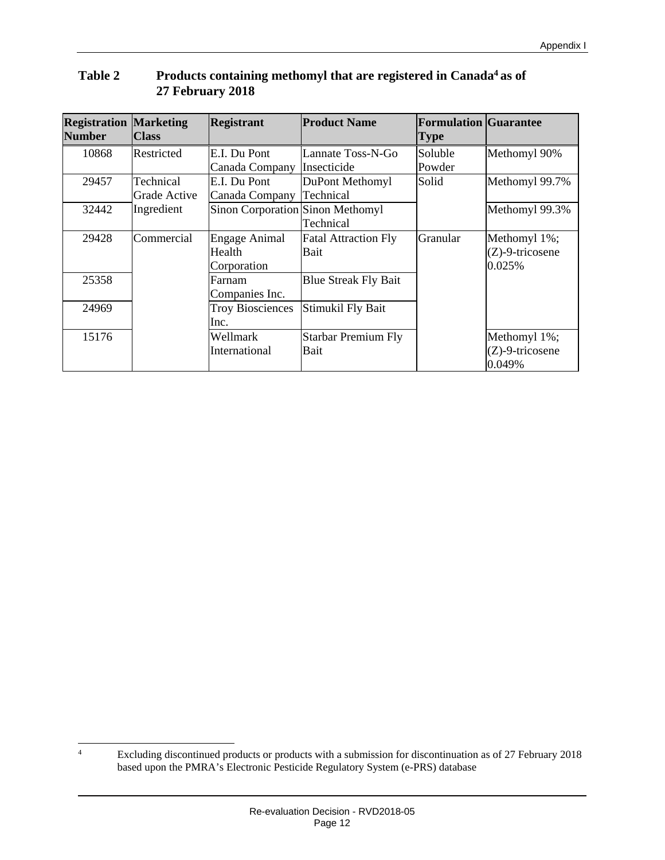| <b>Registration Marketing</b><br><b>Number</b> | <b>Class</b> | <b>Registrant</b>                       | <b>Product Name</b>         | <b>Formulation Guarantee</b><br><b>Type</b> |                    |
|------------------------------------------------|--------------|-----------------------------------------|-----------------------------|---------------------------------------------|--------------------|
| 10868                                          | Restricted   | E.I. Du Pont                            | Lannate Toss-N-Go           | Soluble                                     | Methomyl 90%       |
|                                                |              | Canada Company                          | Insecticide                 | Powder                                      |                    |
| 29457                                          | Technical    | E.I. Du Pont                            | DuPont Methomyl             | Solid                                       | Methomyl 99.7%     |
|                                                | Grade Active | Canada Company                          | Technical                   |                                             |                    |
| 32442                                          | Ingredient   | <b>Sinon Corporation Sinon Methomyl</b> |                             |                                             | Methomyl 99.3%     |
|                                                |              |                                         | Technical                   |                                             |                    |
| 29428                                          | Commercial   | Engage Animal                           | <b>Fatal Attraction Fly</b> | Granular                                    | Methomyl 1%;       |
|                                                |              | Health                                  | Bait                        |                                             | $(Z)$ -9-tricosene |
|                                                |              | Corporation                             |                             |                                             | 0.025%             |
| 25358                                          |              | Farnam                                  | <b>Blue Streak Fly Bait</b> |                                             |                    |
|                                                |              | Companies Inc.                          |                             |                                             |                    |
| 24969                                          |              | <b>Troy Biosciences</b>                 | Stimukil Fly Bait           |                                             |                    |
|                                                |              | Inc.                                    |                             |                                             |                    |
| 15176                                          |              | Wellmark                                | Starbar Premium Fly         |                                             | Methomyl 1%;       |
|                                                |              | International                           | Bait                        |                                             | $(Z)$ -9-tricosene |
|                                                |              |                                         |                             |                                             | 0.049%             |

#### **Table 2 Products containing methomyl that are registered in Canada[4](#page-14-0) as of 27 February 2018**

<span id="page-14-0"></span> $\frac{1}{4}$  Excluding discontinued products or products with a submission for discontinuation as of 27 February 2018 based upon the PMRA's Electronic Pesticide Regulatory System (e-PRS) database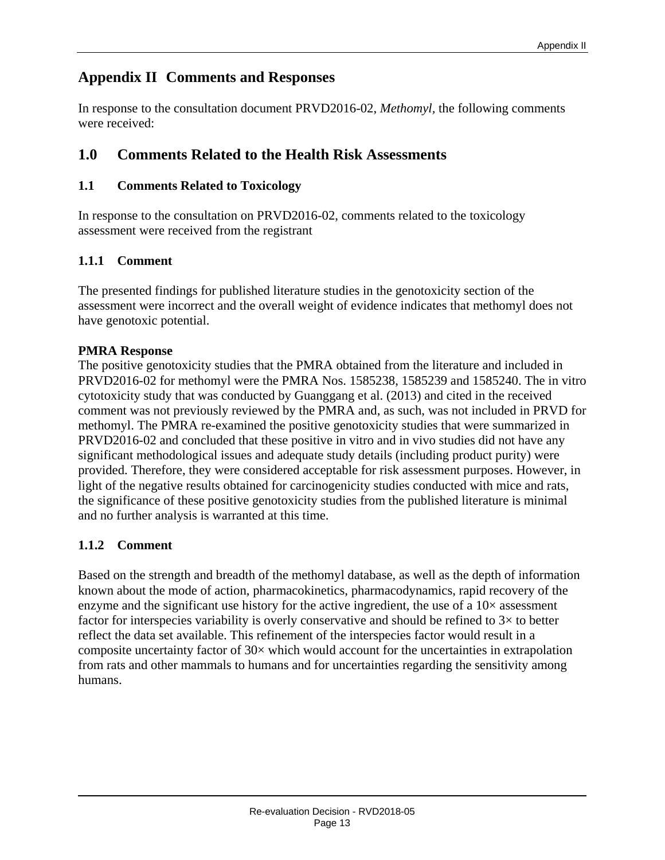## **Appendix II Comments and Responses**

In response to the consultation document PRVD2016-02, *Methomyl,* the following comments were received:

## **1.0 Comments Related to the Health Risk Assessments**

## **1.1 Comments Related to Toxicology**

In response to the consultation on PRVD2016-02, comments related to the toxicology assessment were received from the registrant

## **1.1.1 Comment**

The presented findings for published literature studies in the genotoxicity section of the assessment were incorrect and the overall weight of evidence indicates that methomyl does not have genotoxic potential.

## **PMRA Response**

The positive genotoxicity studies that the PMRA obtained from the literature and included in PRVD2016-02 for methomyl were the PMRA Nos. 1585238, 1585239 and 1585240. The in vitro cytotoxicity study that was conducted by Guanggang et al. (2013) and cited in the received comment was not previously reviewed by the PMRA and, as such, was not included in PRVD for methomyl. The PMRA re-examined the positive genotoxicity studies that were summarized in PRVD2016-02 and concluded that these positive in vitro and in vivo studies did not have any significant methodological issues and adequate study details (including product purity) were provided. Therefore, they were considered acceptable for risk assessment purposes. However, in light of the negative results obtained for carcinogenicity studies conducted with mice and rats, the significance of these positive genotoxicity studies from the published literature is minimal and no further analysis is warranted at this time.

## **1.1.2 Comment**

Based on the strength and breadth of the methomyl database, as well as the depth of information known about the mode of action, pharmacokinetics, pharmacodynamics, rapid recovery of the enzyme and the significant use history for the active ingredient, the use of a  $10\times$  assessment factor for interspecies variability is overly conservative and should be refined to  $3\times$  to better reflect the data set available. This refinement of the interspecies factor would result in a composite uncertainty factor of  $30\times$  which would account for the uncertainties in extrapolation from rats and other mammals to humans and for uncertainties regarding the sensitivity among humans.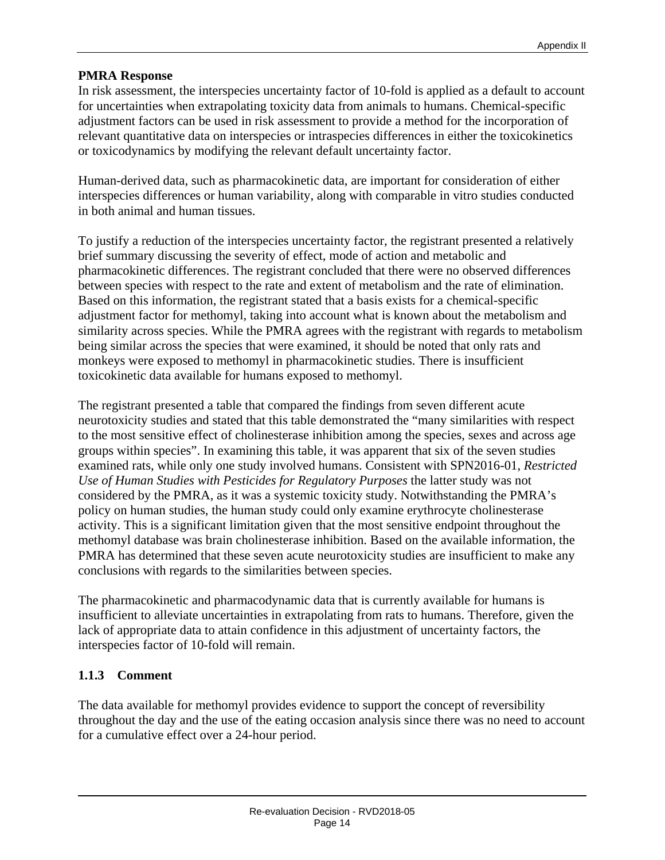In risk assessment, the interspecies uncertainty factor of 10-fold is applied as a default to account for uncertainties when extrapolating toxicity data from animals to humans. Chemical-specific adjustment factors can be used in risk assessment to provide a method for the incorporation of relevant quantitative data on interspecies or intraspecies differences in either the toxicokinetics or toxicodynamics by modifying the relevant default uncertainty factor.

Human-derived data, such as pharmacokinetic data, are important for consideration of either interspecies differences or human variability, along with comparable in vitro studies conducted in both animal and human tissues.

To justify a reduction of the interspecies uncertainty factor, the registrant presented a relatively brief summary discussing the severity of effect, mode of action and metabolic and pharmacokinetic differences. The registrant concluded that there were no observed differences between species with respect to the rate and extent of metabolism and the rate of elimination. Based on this information, the registrant stated that a basis exists for a chemical-specific adjustment factor for methomyl, taking into account what is known about the metabolism and similarity across species. While the PMRA agrees with the registrant with regards to metabolism being similar across the species that were examined, it should be noted that only rats and monkeys were exposed to methomyl in pharmacokinetic studies. There is insufficient toxicokinetic data available for humans exposed to methomyl.

The registrant presented a table that compared the findings from seven different acute neurotoxicity studies and stated that this table demonstrated the "many similarities with respect to the most sensitive effect of cholinesterase inhibition among the species, sexes and across age groups within species". In examining this table, it was apparent that six of the seven studies examined rats, while only one study involved humans. Consistent with SPN2016-01, *Restricted Use of Human Studies with Pesticides for Regulatory Purposes* the latter study was not considered by the PMRA, as it was a systemic toxicity study. Notwithstanding the PMRA's policy on human studies, the human study could only examine erythrocyte cholinesterase activity. This is a significant limitation given that the most sensitive endpoint throughout the methomyl database was brain cholinesterase inhibition. Based on the available information, the PMRA has determined that these seven acute neurotoxicity studies are insufficient to make any conclusions with regards to the similarities between species.

The pharmacokinetic and pharmacodynamic data that is currently available for humans is insufficient to alleviate uncertainties in extrapolating from rats to humans. Therefore, given the lack of appropriate data to attain confidence in this adjustment of uncertainty factors, the interspecies factor of 10-fold will remain.

#### **1.1.3 Comment**

The data available for methomyl provides evidence to support the concept of reversibility throughout the day and the use of the eating occasion analysis since there was no need to account for a cumulative effect over a 24-hour period.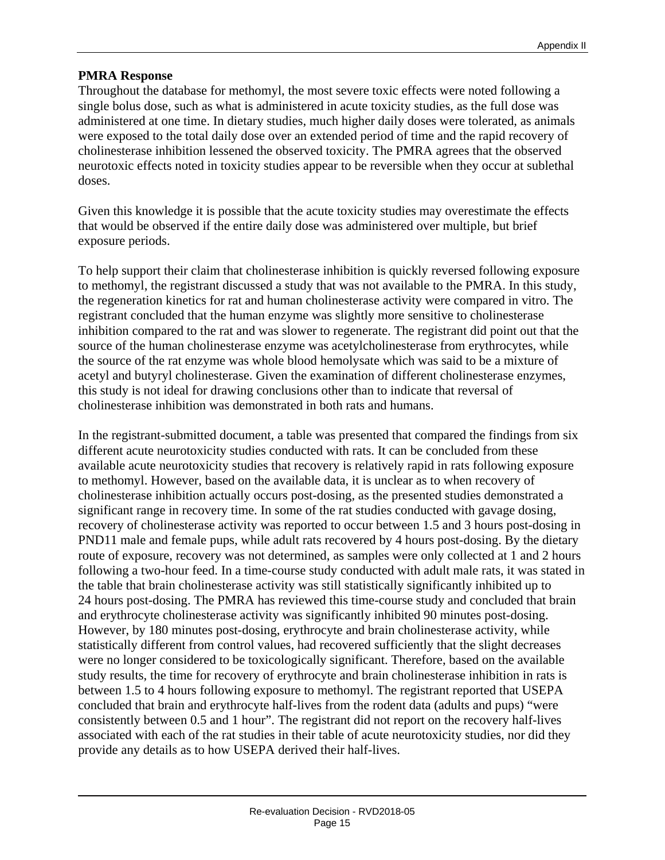Throughout the database for methomyl, the most severe toxic effects were noted following a single bolus dose, such as what is administered in acute toxicity studies, as the full dose was administered at one time. In dietary studies, much higher daily doses were tolerated, as animals were exposed to the total daily dose over an extended period of time and the rapid recovery of cholinesterase inhibition lessened the observed toxicity. The PMRA agrees that the observed neurotoxic effects noted in toxicity studies appear to be reversible when they occur at sublethal doses.

Given this knowledge it is possible that the acute toxicity studies may overestimate the effects that would be observed if the entire daily dose was administered over multiple, but brief exposure periods.

To help support their claim that cholinesterase inhibition is quickly reversed following exposure to methomyl, the registrant discussed a study that was not available to the PMRA. In this study, the regeneration kinetics for rat and human cholinesterase activity were compared in vitro. The registrant concluded that the human enzyme was slightly more sensitive to cholinesterase inhibition compared to the rat and was slower to regenerate. The registrant did point out that the source of the human cholinesterase enzyme was acetylcholinesterase from erythrocytes, while the source of the rat enzyme was whole blood hemolysate which was said to be a mixture of acetyl and butyryl cholinesterase. Given the examination of different cholinesterase enzymes, this study is not ideal for drawing conclusions other than to indicate that reversal of cholinesterase inhibition was demonstrated in both rats and humans.

In the registrant-submitted document, a table was presented that compared the findings from six different acute neurotoxicity studies conducted with rats. It can be concluded from these available acute neurotoxicity studies that recovery is relatively rapid in rats following exposure to methomyl. However, based on the available data, it is unclear as to when recovery of cholinesterase inhibition actually occurs post-dosing, as the presented studies demonstrated a significant range in recovery time. In some of the rat studies conducted with gavage dosing, recovery of cholinesterase activity was reported to occur between 1.5 and 3 hours post-dosing in PND11 male and female pups, while adult rats recovered by 4 hours post-dosing. By the dietary route of exposure, recovery was not determined, as samples were only collected at 1 and 2 hours following a two-hour feed. In a time-course study conducted with adult male rats, it was stated in the table that brain cholinesterase activity was still statistically significantly inhibited up to 24 hours post-dosing. The PMRA has reviewed this time-course study and concluded that brain and erythrocyte cholinesterase activity was significantly inhibited 90 minutes post-dosing. However, by 180 minutes post-dosing, erythrocyte and brain cholinesterase activity, while statistically different from control values, had recovered sufficiently that the slight decreases were no longer considered to be toxicologically significant. Therefore, based on the available study results, the time for recovery of erythrocyte and brain cholinesterase inhibition in rats is between 1.5 to 4 hours following exposure to methomyl. The registrant reported that USEPA concluded that brain and erythrocyte half-lives from the rodent data (adults and pups) "were consistently between 0.5 and 1 hour". The registrant did not report on the recovery half-lives associated with each of the rat studies in their table of acute neurotoxicity studies, nor did they provide any details as to how USEPA derived their half-lives.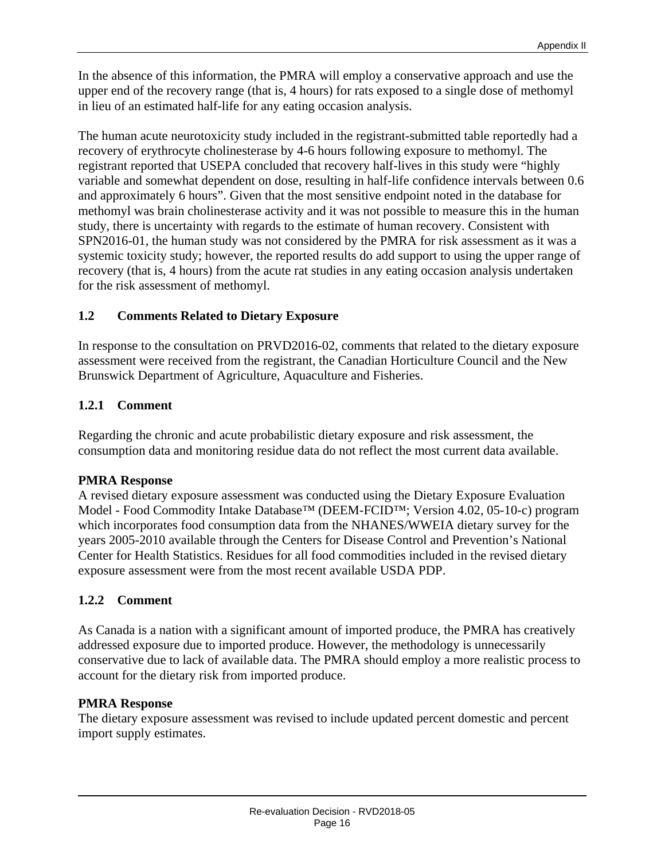In the absence of this information, the PMRA will employ a conservative approach and use the upper end of the recovery range (that is, 4 hours) for rats exposed to a single dose of methomyl in lieu of an estimated half-life for any eating occasion analysis.

The human acute neurotoxicity study included in the registrant-submitted table reportedly had a recovery of erythrocyte cholinesterase by 4-6 hours following exposure to methomyl. The registrant reported that USEPA concluded that recovery half-lives in this study were "highly variable and somewhat dependent on dose, resulting in half-life confidence intervals between 0.6 and approximately 6 hours". Given that the most sensitive endpoint noted in the database for methomyl was brain cholinesterase activity and it was not possible to measure this in the human study, there is uncertainty with regards to the estimate of human recovery. Consistent with SPN2016-01, the human study was not considered by the PMRA for risk assessment as it was a systemic toxicity study; however, the reported results do add support to using the upper range of recovery (that is, 4 hours) from the acute rat studies in any eating occasion analysis undertaken for the risk assessment of methomyl.

#### **1.2 Comments Related to Dietary Exposure**

In response to the consultation on PRVD2016-02, comments that related to the dietary exposure assessment were received from the registrant, the Canadian Horticulture Council and the New Brunswick Department of Agriculture, Aquaculture and Fisheries.

#### **1.2.1 Comment**

Regarding the chronic and acute probabilistic dietary exposure and risk assessment, the consumption data and monitoring residue data do not reflect the most current data available.

#### **PMRA Response**

A revised dietary exposure assessment was conducted using the Dietary Exposure Evaluation Model - Food Commodity Intake Database™ (DEEM-FCID™; Version 4.02, 05-10-c) program which incorporates food consumption data from the NHANES/WWEIA dietary survey for the years 2005-2010 available through the Centers for Disease Control and Prevention's National Center for Health Statistics. Residues for all food commodities included in the revised dietary exposure assessment were from the most recent available USDA PDP.

#### **1.2.2 Comment**

As Canada is a nation with a significant amount of imported produce, the PMRA has creatively addressed exposure due to imported produce. However, the methodology is unnecessarily conservative due to lack of available data. The PMRA should employ a more realistic process to account for the dietary risk from imported produce.

#### **PMRA Response**

The dietary exposure assessment was revised to include updated percent domestic and percent import supply estimates.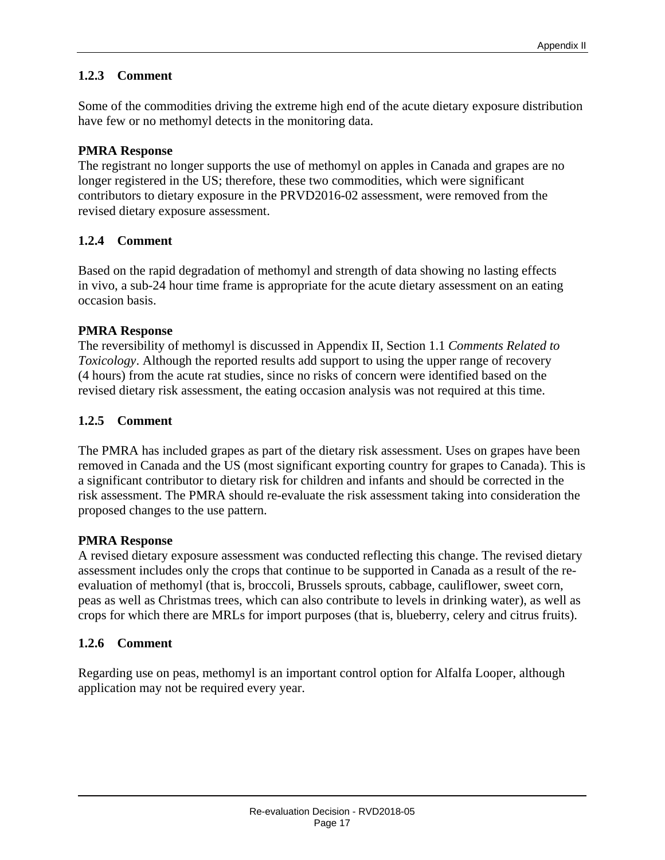#### **1.2.3 Comment**

Some of the commodities driving the extreme high end of the acute dietary exposure distribution have few or no methomyl detects in the monitoring data.

#### **PMRA Response**

The registrant no longer supports the use of methomyl on apples in Canada and grapes are no longer registered in the US; therefore, these two commodities, which were significant contributors to dietary exposure in the PRVD2016-02 assessment, were removed from the revised dietary exposure assessment.

#### **1.2.4 Comment**

Based on the rapid degradation of methomyl and strength of data showing no lasting effects in vivo, a sub-24 hour time frame is appropriate for the acute dietary assessment on an eating occasion basis.

#### **PMRA Response**

The reversibility of methomyl is discussed in Appendix II, Section 1.1 *Comments Related to Toxicology*. Although the reported results add support to using the upper range of recovery (4 hours) from the acute rat studies, since no risks of concern were identified based on the revised dietary risk assessment, the eating occasion analysis was not required at this time.

#### **1.2.5 Comment**

The PMRA has included grapes as part of the dietary risk assessment. Uses on grapes have been removed in Canada and the US (most significant exporting country for grapes to Canada). This is a significant contributor to dietary risk for children and infants and should be corrected in the risk assessment. The PMRA should re-evaluate the risk assessment taking into consideration the proposed changes to the use pattern.

#### **PMRA Response**

A revised dietary exposure assessment was conducted reflecting this change. The revised dietary assessment includes only the crops that continue to be supported in Canada as a result of the reevaluation of methomyl (that is, broccoli, Brussels sprouts, cabbage, cauliflower, sweet corn, peas as well as Christmas trees, which can also contribute to levels in drinking water), as well as crops for which there are MRLs for import purposes (that is, blueberry, celery and citrus fruits).

#### **1.2.6 Comment**

Regarding use on peas, methomyl is an important control option for Alfalfa Looper, although application may not be required every year.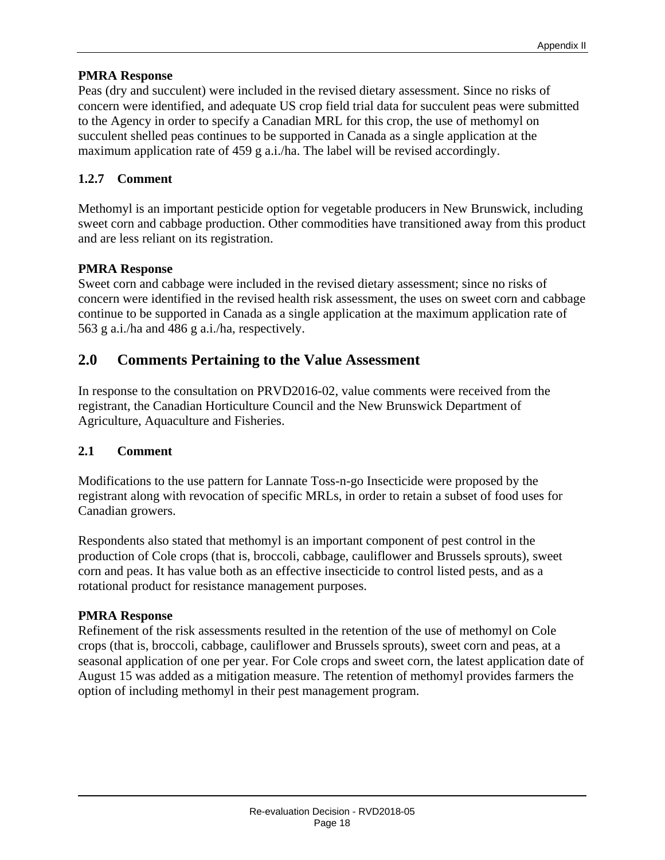Peas (dry and succulent) were included in the revised dietary assessment. Since no risks of concern were identified, and adequate US crop field trial data for succulent peas were submitted to the Agency in order to specify a Canadian MRL for this crop, the use of methomyl on succulent shelled peas continues to be supported in Canada as a single application at the maximum application rate of 459 g a.i./ha. The label will be revised accordingly.

#### **1.2.7 Comment**

Methomyl is an important pesticide option for vegetable producers in New Brunswick, including sweet corn and cabbage production. Other commodities have transitioned away from this product and are less reliant on its registration.

#### **PMRA Response**

Sweet corn and cabbage were included in the revised dietary assessment; since no risks of concern were identified in the revised health risk assessment, the uses on sweet corn and cabbage continue to be supported in Canada as a single application at the maximum application rate of 563 g a.i./ha and 486 g a.i./ha, respectively.

#### **2.0 Comments Pertaining to the Value Assessment**

In response to the consultation on PRVD2016-02, value comments were received from the registrant, the Canadian Horticulture Council and the New Brunswick Department of Agriculture, Aquaculture and Fisheries.

#### **2.1 Comment**

Modifications to the use pattern for Lannate Toss-n-go Insecticide were proposed by the registrant along with revocation of specific MRLs, in order to retain a subset of food uses for Canadian growers.

Respondents also stated that methomyl is an important component of pest control in the production of Cole crops (that is, broccoli, cabbage, cauliflower and Brussels sprouts), sweet corn and peas. It has value both as an effective insecticide to control listed pests, and as a rotational product for resistance management purposes.

#### **PMRA Response**

Refinement of the risk assessments resulted in the retention of the use of methomyl on Cole crops (that is, broccoli, cabbage, cauliflower and Brussels sprouts), sweet corn and peas, at a seasonal application of one per year. For Cole crops and sweet corn, the latest application date of August 15 was added as a mitigation measure. The retention of methomyl provides farmers the option of including methomyl in their pest management program.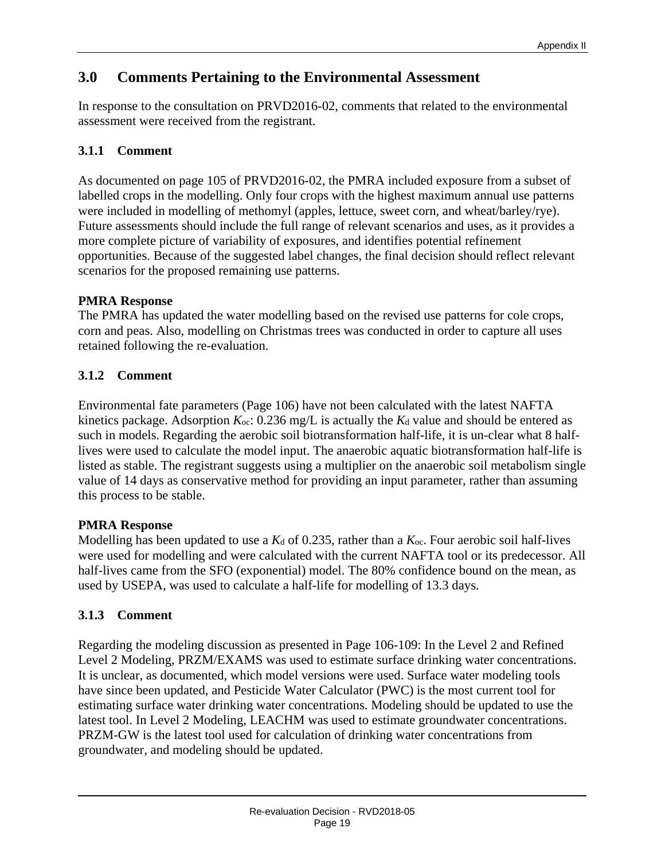## **3.0 Comments Pertaining to the Environmental Assessment**

In response to the consultation on PRVD2016-02, comments that related to the environmental assessment were received from the registrant.

## **3.1.1 Comment**

As documented on page 105 of PRVD2016-02, the PMRA included exposure from a subset of labelled crops in the modelling. Only four crops with the highest maximum annual use patterns were included in modelling of methomyl (apples, lettuce, sweet corn, and wheat/barley/rye). Future assessments should include the full range of relevant scenarios and uses, as it provides a more complete picture of variability of exposures, and identifies potential refinement opportunities. Because of the suggested label changes, the final decision should reflect relevant scenarios for the proposed remaining use patterns.

#### **PMRA Response**

The PMRA has updated the water modelling based on the revised use patterns for cole crops, corn and peas. Also, modelling on Christmas trees was conducted in order to capture all uses retained following the re-evaluation.

## **3.1.2 Comment**

Environmental fate parameters (Page 106) have not been calculated with the latest NAFTA kinetics package. Adsorption  $K_{\text{oc}}$ : 0.236 mg/L is actually the  $K_d$  value and should be entered as such in models. Regarding the aerobic soil biotransformation half-life, it is un-clear what 8 halflives were used to calculate the model input. The anaerobic aquatic biotransformation half-life is listed as stable. The registrant suggests using a multiplier on the anaerobic soil metabolism single value of 14 days as conservative method for providing an input parameter, rather than assuming this process to be stable.

## **PMRA Response**

Modelling has been updated to use a  $K_d$  of 0.235, rather than a  $K_{oc}$ . Four aerobic soil half-lives were used for modelling and were calculated with the current NAFTA tool or its predecessor. All half-lives came from the SFO (exponential) model. The 80% confidence bound on the mean, as used by USEPA, was used to calculate a half-life for modelling of 13.3 days.

## **3.1.3 Comment**

Regarding the modeling discussion as presented in Page 106-109: In the Level 2 and Refined Level 2 Modeling, PRZM/EXAMS was used to estimate surface drinking water concentrations. It is unclear, as documented, which model versions were used. Surface water modeling tools have since been updated, and Pesticide Water Calculator (PWC) is the most current tool for estimating surface water drinking water concentrations. Modeling should be updated to use the latest tool. In Level 2 Modeling, LEACHM was used to estimate groundwater concentrations. PRZM-GW is the latest tool used for calculation of drinking water concentrations from groundwater, and modeling should be updated.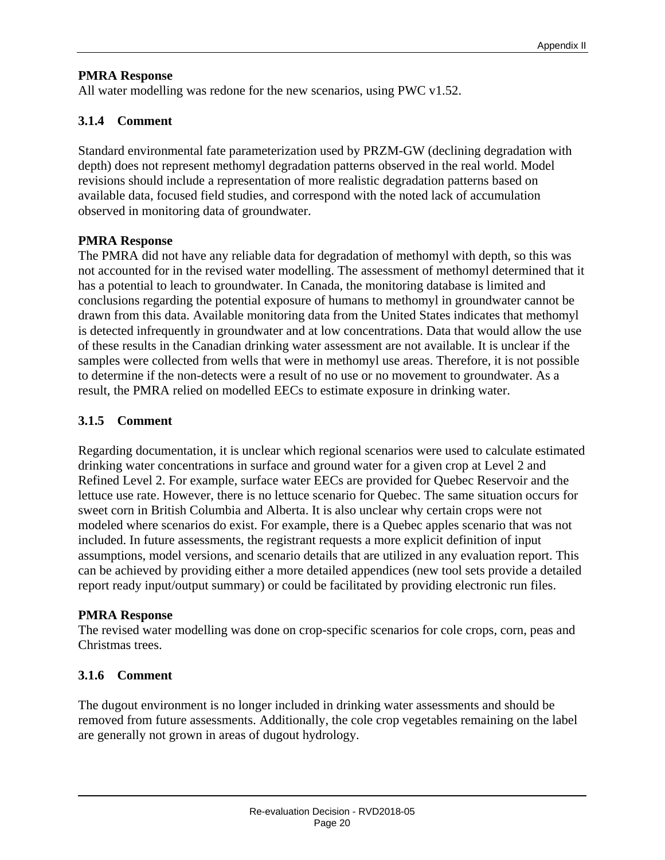All water modelling was redone for the new scenarios, using PWC v1.52.

#### **3.1.4 Comment**

Standard environmental fate parameterization used by PRZM-GW (declining degradation with depth) does not represent methomyl degradation patterns observed in the real world. Model revisions should include a representation of more realistic degradation patterns based on available data, focused field studies, and correspond with the noted lack of accumulation observed in monitoring data of groundwater.

#### **PMRA Response**

The PMRA did not have any reliable data for degradation of methomyl with depth, so this was not accounted for in the revised water modelling. The assessment of methomyl determined that it has a potential to leach to groundwater. In Canada, the monitoring database is limited and conclusions regarding the potential exposure of humans to methomyl in groundwater cannot be drawn from this data. Available monitoring data from the United States indicates that methomyl is detected infrequently in groundwater and at low concentrations. Data that would allow the use of these results in the Canadian drinking water assessment are not available. It is unclear if the samples were collected from wells that were in methomyl use areas. Therefore, it is not possible to determine if the non-detects were a result of no use or no movement to groundwater. As a result, the PMRA relied on modelled EECs to estimate exposure in drinking water.

#### **3.1.5 Comment**

Regarding documentation, it is unclear which regional scenarios were used to calculate estimated drinking water concentrations in surface and ground water for a given crop at Level 2 and Refined Level 2. For example, surface water EECs are provided for Quebec Reservoir and the lettuce use rate. However, there is no lettuce scenario for Quebec. The same situation occurs for sweet corn in British Columbia and Alberta. It is also unclear why certain crops were not modeled where scenarios do exist. For example, there is a Quebec apples scenario that was not included. In future assessments, the registrant requests a more explicit definition of input assumptions, model versions, and scenario details that are utilized in any evaluation report. This can be achieved by providing either a more detailed appendices (new tool sets provide a detailed report ready input/output summary) or could be facilitated by providing electronic run files.

#### **PMRA Response**

The revised water modelling was done on crop-specific scenarios for cole crops, corn, peas and Christmas trees.

#### **3.1.6 Comment**

The dugout environment is no longer included in drinking water assessments and should be removed from future assessments. Additionally, the cole crop vegetables remaining on the label are generally not grown in areas of dugout hydrology.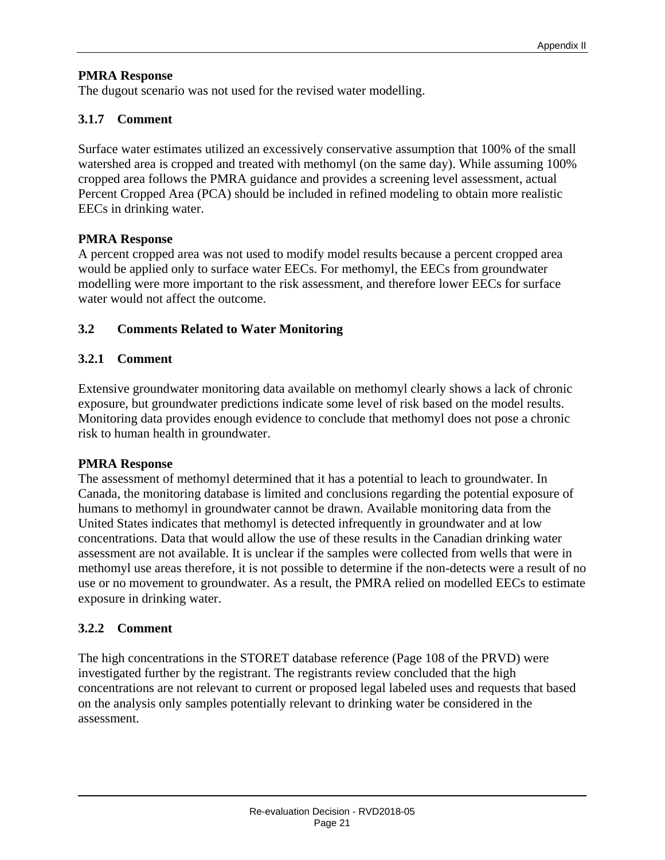The dugout scenario was not used for the revised water modelling.

#### **3.1.7 Comment**

Surface water estimates utilized an excessively conservative assumption that 100% of the small watershed area is cropped and treated with methomyl (on the same day). While assuming 100% cropped area follows the PMRA guidance and provides a screening level assessment, actual Percent Cropped Area (PCA) should be included in refined modeling to obtain more realistic EECs in drinking water.

#### **PMRA Response**

A percent cropped area was not used to modify model results because a percent cropped area would be applied only to surface water EECs. For methomyl, the EECs from groundwater modelling were more important to the risk assessment, and therefore lower EECs for surface water would not affect the outcome.

#### **3.2 Comments Related to Water Monitoring**

#### **3.2.1 Comment**

Extensive groundwater monitoring data available on methomyl clearly shows a lack of chronic exposure, but groundwater predictions indicate some level of risk based on the model results. Monitoring data provides enough evidence to conclude that methomyl does not pose a chronic risk to human health in groundwater.

#### **PMRA Response**

The assessment of methomyl determined that it has a potential to leach to groundwater. In Canada, the monitoring database is limited and conclusions regarding the potential exposure of humans to methomyl in groundwater cannot be drawn. Available monitoring data from the United States indicates that methomyl is detected infrequently in groundwater and at low concentrations. Data that would allow the use of these results in the Canadian drinking water assessment are not available. It is unclear if the samples were collected from wells that were in methomyl use areas therefore, it is not possible to determine if the non-detects were a result of no use or no movement to groundwater. As a result, the PMRA relied on modelled EECs to estimate exposure in drinking water.

#### **3.2.2 Comment**

The high concentrations in the STORET database reference (Page 108 of the PRVD) were investigated further by the registrant. The registrants review concluded that the high concentrations are not relevant to current or proposed legal labeled uses and requests that based on the analysis only samples potentially relevant to drinking water be considered in the assessment.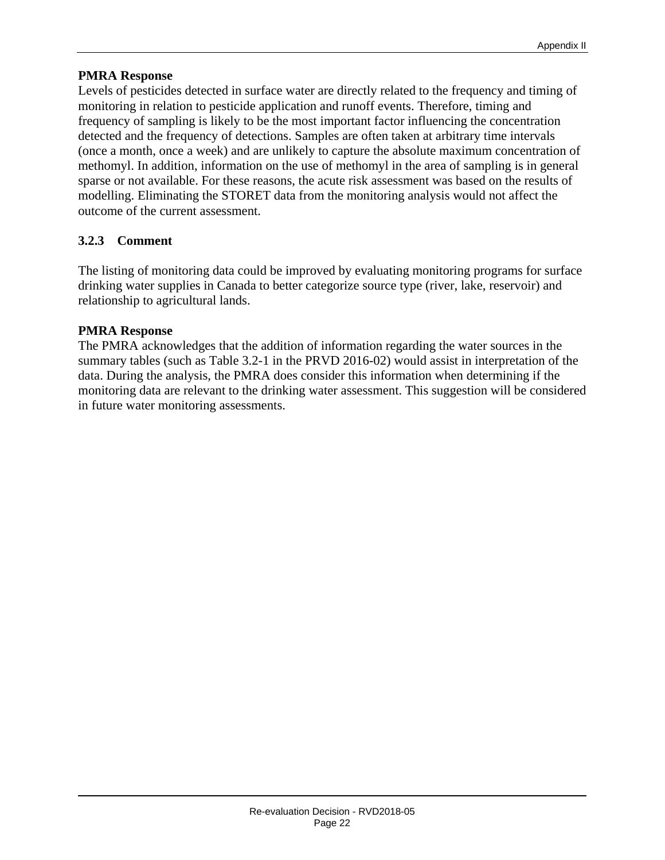Levels of pesticides detected in surface water are directly related to the frequency and timing of monitoring in relation to pesticide application and runoff events. Therefore, timing and frequency of sampling is likely to be the most important factor influencing the concentration detected and the frequency of detections. Samples are often taken at arbitrary time intervals (once a month, once a week) and are unlikely to capture the absolute maximum concentration of methomyl. In addition, information on the use of methomyl in the area of sampling is in general sparse or not available. For these reasons, the acute risk assessment was based on the results of modelling. Eliminating the STORET data from the monitoring analysis would not affect the outcome of the current assessment.

#### **3.2.3 Comment**

The listing of monitoring data could be improved by evaluating monitoring programs for surface drinking water supplies in Canada to better categorize source type (river, lake, reservoir) and relationship to agricultural lands.

#### **PMRA Response**

The PMRA acknowledges that the addition of information regarding the water sources in the summary tables (such as Table 3.2-1 in the PRVD 2016-02) would assist in interpretation of the data. During the analysis, the PMRA does consider this information when determining if the monitoring data are relevant to the drinking water assessment. This suggestion will be considered in future water monitoring assessments.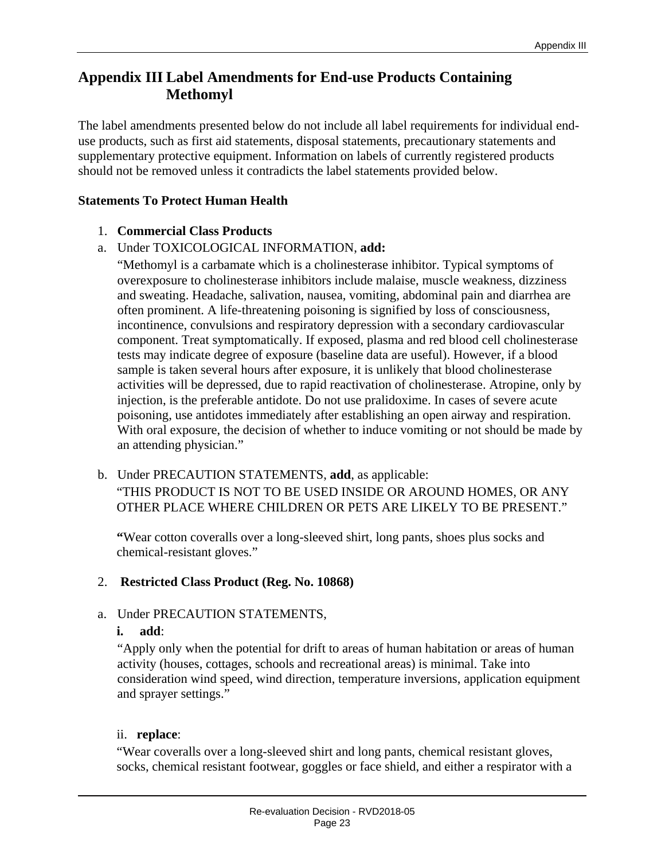## **Appendix III Label Amendments for End-use Products Containing Methomyl**

The label amendments presented below do not include all label requirements for individual enduse products, such as first aid statements, disposal statements, precautionary statements and supplementary protective equipment. Information on labels of currently registered products should not be removed unless it contradicts the label statements provided below.

#### **Statements To Protect Human Health**

#### 1. **Commercial Class Products**

#### a. Under TOXICOLOGICAL INFORMATION, **add:**

"Methomyl is a carbamate which is a cholinesterase inhibitor. Typical symptoms of overexposure to cholinesterase inhibitors include malaise, muscle weakness, dizziness and sweating. Headache, salivation, nausea, vomiting, abdominal pain and diarrhea are often prominent. A life-threatening poisoning is signified by loss of consciousness, incontinence, convulsions and respiratory depression with a secondary cardiovascular component. Treat symptomatically. If exposed, plasma and red blood cell cholinesterase tests may indicate degree of exposure (baseline data are useful). However, if a blood sample is taken several hours after exposure, it is unlikely that blood cholinesterase activities will be depressed, due to rapid reactivation of cholinesterase. Atropine, only by injection, is the preferable antidote. Do not use pralidoxime. In cases of severe acute poisoning, use antidotes immediately after establishing an open airway and respiration. With oral exposure, the decision of whether to induce vomiting or not should be made by an attending physician."

## b. Under PRECAUTION STATEMENTS, **add**, as applicable: "THIS PRODUCT IS NOT TO BE USED INSIDE OR AROUND HOMES, OR ANY OTHER PLACE WHERE CHILDREN OR PETS ARE LIKELY TO BE PRESENT."

**"**Wear cotton coveralls over a long-sleeved shirt, long pants, shoes plus socks and chemical-resistant gloves."

#### 2. **Restricted Class Product (Reg. No. 10868)**

#### a. Under PRECAUTION STATEMENTS,

#### **i. add**:

"Apply only when the potential for drift to areas of human habitation or areas of human activity (houses, cottages, schools and recreational areas) is minimal. Take into consideration wind speed, wind direction, temperature inversions, application equipment and sprayer settings."

#### ii. **replace**:

"Wear coveralls over a long-sleeved shirt and long pants, chemical resistant gloves, socks, chemical resistant footwear, goggles or face shield, and either a respirator with a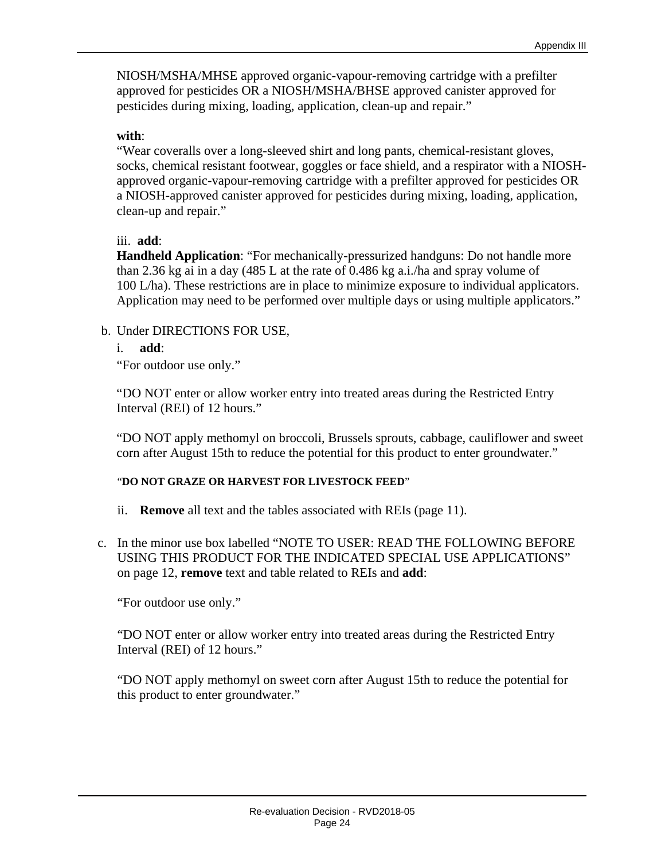NIOSH/MSHA/MHSE approved organic-vapour-removing cartridge with a prefilter approved for pesticides OR a NIOSH/MSHA/BHSE approved canister approved for pesticides during mixing, loading, application, clean-up and repair."

#### **with**:

"Wear coveralls over a long-sleeved shirt and long pants, chemical-resistant gloves, socks, chemical resistant footwear, goggles or face shield, and a respirator with a NIOSHapproved organic-vapour-removing cartridge with a prefilter approved for pesticides OR a NIOSH-approved canister approved for pesticides during mixing, loading, application, clean-up and repair."

#### iii. **add**:

**Handheld Application**: "For mechanically-pressurized handguns: Do not handle more than 2.36 kg ai in a day (485 L at the rate of 0.486 kg a.i./ha and spray volume of 100 L/ha). These restrictions are in place to minimize exposure to individual applicators. Application may need to be performed over multiple days or using multiple applicators."

#### b. Under DIRECTIONS FOR USE,

i. **add**:

"For outdoor use only."

"DO NOT enter or allow worker entry into treated areas during the Restricted Entry Interval (REI) of 12 hours."

"DO NOT apply methomyl on broccoli, Brussels sprouts, cabbage, cauliflower and sweet corn after August 15th to reduce the potential for this product to enter groundwater."

#### "**DO NOT GRAZE OR HARVEST FOR LIVESTOCK FEED**"

- ii. **Remove** all text and the tables associated with REIs (page 11).
- c. In the minor use box labelled "NOTE TO USER: READ THE FOLLOWING BEFORE USING THIS PRODUCT FOR THE INDICATED SPECIAL USE APPLICATIONS" on page 12, **remove** text and table related to REIs and **add**:

"For outdoor use only."

"DO NOT enter or allow worker entry into treated areas during the Restricted Entry Interval (REI) of 12 hours."

"DO NOT apply methomyl on sweet corn after August 15th to reduce the potential for this product to enter groundwater."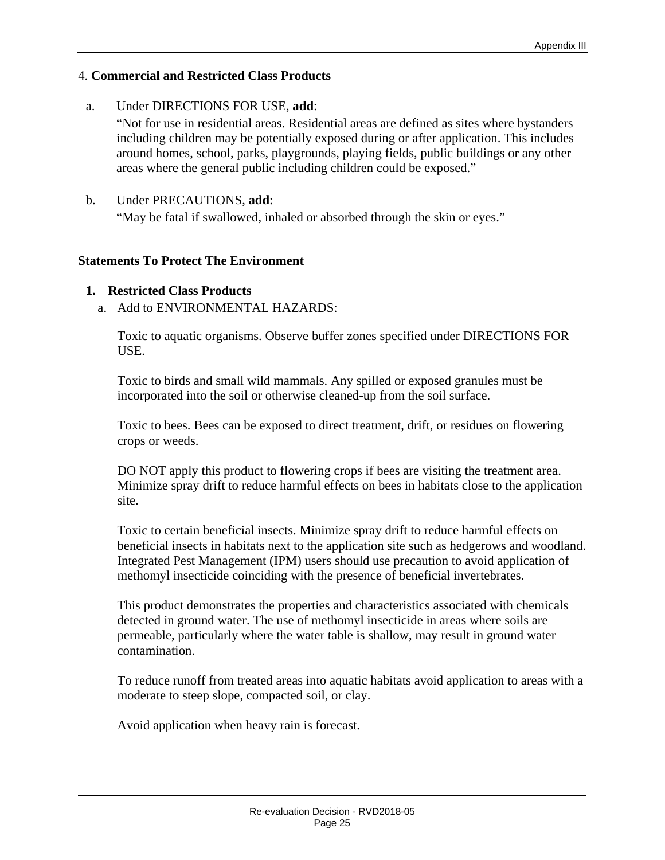#### 4. **Commercial and Restricted Class Products**

a. Under DIRECTIONS FOR USE, **add**:

"Not for use in residential areas. Residential areas are defined as sites where bystanders including children may be potentially exposed during or after application. This includes around homes, school, parks, playgrounds, playing fields, public buildings or any other areas where the general public including children could be exposed."

#### b. Under PRECAUTIONS, **add**:

"May be fatal if swallowed, inhaled or absorbed through the skin or eyes."

#### **Statements To Protect The Environment**

#### **1. Restricted Class Products**

a. Add to ENVIRONMENTAL HAZARDS:

Toxic to aquatic organisms. Observe buffer zones specified under DIRECTIONS FOR USE.

Toxic to birds and small wild mammals. Any spilled or exposed granules must be incorporated into the soil or otherwise cleaned-up from the soil surface.

Toxic to bees. Bees can be exposed to direct treatment, drift, or residues on flowering crops or weeds.

DO NOT apply this product to flowering crops if bees are visiting the treatment area. Minimize spray drift to reduce harmful effects on bees in habitats close to the application site.

Toxic to certain beneficial insects. Minimize spray drift to reduce harmful effects on beneficial insects in habitats next to the application site such as hedgerows and woodland. Integrated Pest Management (IPM) users should use precaution to avoid application of methomyl insecticide coinciding with the presence of beneficial invertebrates.

This product demonstrates the properties and characteristics associated with chemicals detected in ground water. The use of methomyl insecticide in areas where soils are permeable, particularly where the water table is shallow, may result in ground water contamination.

To reduce runoff from treated areas into aquatic habitats avoid application to areas with a moderate to steep slope, compacted soil, or clay.

Avoid application when heavy rain is forecast.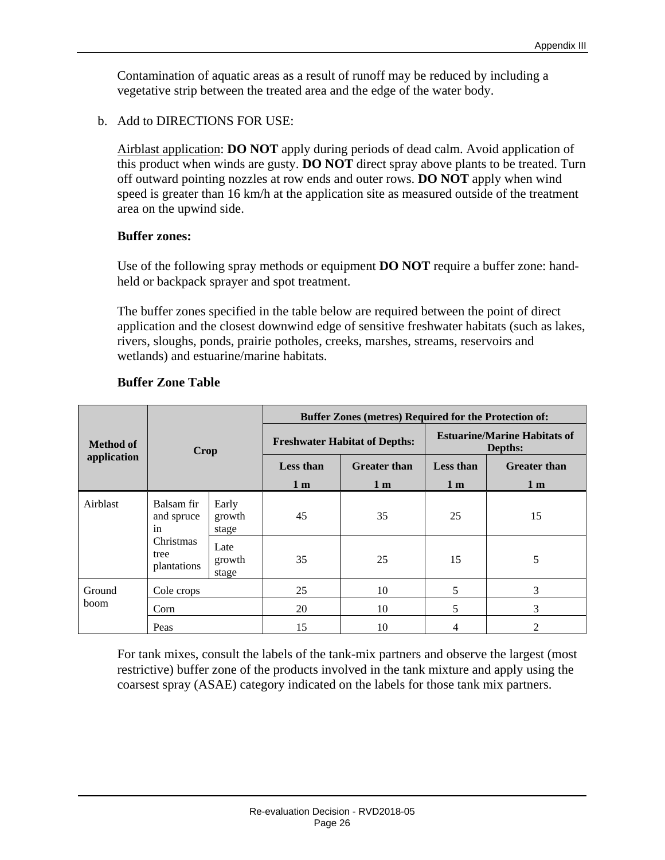Contamination of aquatic areas as a result of runoff may be reduced by including a vegetative strip between the treated area and the edge of the water body.

b. Add to DIRECTIONS FOR USE:

Airblast application: **DO NOT** apply during periods of dead calm. Avoid application of this product when winds are gusty. **DO NOT** direct spray above plants to be treated. Turn off outward pointing nozzles at row ends and outer rows. **DO NOT** apply when wind speed is greater than 16 km/h at the application site as measured outside of the treatment area on the upwind side.

#### **Buffer zones:**

Use of the following spray methods or equipment **DO NOT** require a buffer zone: handheld or backpack sprayer and spot treatment.

The buffer zones specified in the table below are required between the point of direct application and the closest downwind edge of sensitive freshwater habitats (such as lakes, rivers, sloughs, ponds, prairie potholes, creeks, marshes, streams, reservoirs and wetlands) and estuarine/marine habitats.

|                  |                                  |                          | <b>Buffer Zones (metres) Required for the Protection of:</b> |                                      |                                                |                     |  |  |  |
|------------------|----------------------------------|--------------------------|--------------------------------------------------------------|--------------------------------------|------------------------------------------------|---------------------|--|--|--|
| <b>Method of</b> | Crop                             |                          |                                                              | <b>Freshwater Habitat of Depths:</b> | <b>Estuarine/Marine Habitats of</b><br>Depths: |                     |  |  |  |
| application      |                                  |                          | <b>Greater than</b><br><b>Less than</b>                      |                                      | <b>Less than</b>                               | <b>Greater than</b> |  |  |  |
|                  |                                  |                          | 1 <sub>m</sub>                                               | 1 <sub>m</sub>                       | 1 <sub>m</sub>                                 | 1 <sub>m</sub>      |  |  |  |
| Airblast         | Balsam fir<br>and spruce<br>in   | Early<br>growth<br>stage | 45                                                           | 35                                   | 25                                             | 15                  |  |  |  |
|                  | Christmas<br>tree<br>plantations | Late<br>growth<br>stage  | 35                                                           | 25                                   | 15                                             | 5                   |  |  |  |
| Ground           | Cole crops                       |                          | 25                                                           | 10                                   | 5                                              | 3                   |  |  |  |
| boom.            | Corn                             |                          | 20                                                           | 10                                   | 5                                              | 3                   |  |  |  |
|                  | Peas                             |                          | 15                                                           | 10                                   | 4                                              | $\overline{c}$      |  |  |  |

#### **Buffer Zone Table**

For tank mixes, consult the labels of the tank-mix partners and observe the largest (most restrictive) buffer zone of the products involved in the tank mixture and apply using the coarsest spray (ASAE) category indicated on the labels for those tank mix partners.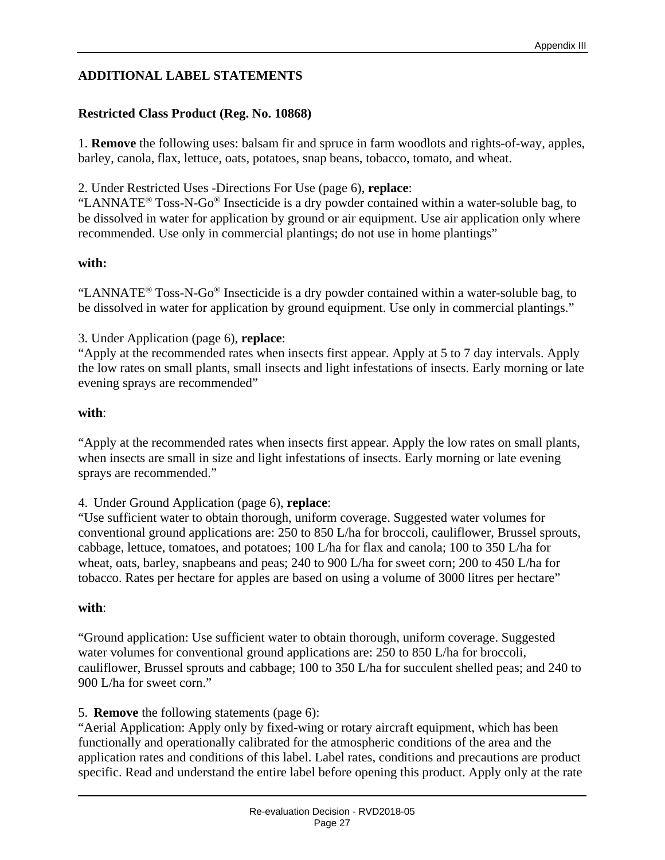## **ADDITIONAL LABEL STATEMENTS**

#### **Restricted Class Product (Reg. No. 10868)**

1. **Remove** the following uses: balsam fir and spruce in farm woodlots and rights-of-way, apples, barley, canola, flax, lettuce, oats, potatoes, snap beans, tobacco, tomato, and wheat.

2. Under Restricted Uses -Directions For Use (page 6), **replace**:

"LANNATE® Toss-N-Go® Insecticide is a dry powder contained within a water-soluble bag, to be dissolved in water for application by ground or air equipment. Use air application only where recommended. Use only in commercial plantings; do not use in home plantings"

#### **with:**

"LANNATE<sup>®</sup> Toss-N-Go<sup>®</sup> Insecticide is a dry powder contained within a water-soluble bag, to be dissolved in water for application by ground equipment. Use only in commercial plantings."

3. Under Application (page 6), **replace**:

"Apply at the recommended rates when insects first appear. Apply at 5 to 7 day intervals. Apply the low rates on small plants, small insects and light infestations of insects. Early morning or late evening sprays are recommended"

#### **with**:

"Apply at the recommended rates when insects first appear. Apply the low rates on small plants, when insects are small in size and light infestations of insects. Early morning or late evening sprays are recommended."

4. Under Ground Application (page 6), **replace**:

"Use sufficient water to obtain thorough, uniform coverage. Suggested water volumes for conventional ground applications are: 250 to 850 L/ha for broccoli, cauliflower, Brussel sprouts, cabbage, lettuce, tomatoes, and potatoes; 100 L/ha for flax and canola; 100 to 350 L/ha for wheat, oats, barley, snapbeans and peas; 240 to 900 L/ha for sweet corn; 200 to 450 L/ha for tobacco. Rates per hectare for apples are based on using a volume of 3000 litres per hectare"

#### **with**:

"Ground application: Use sufficient water to obtain thorough, uniform coverage. Suggested water volumes for conventional ground applications are: 250 to 850 L/ha for broccoli, cauliflower, Brussel sprouts and cabbage; 100 to 350 L/ha for succulent shelled peas; and 240 to 900 L/ha for sweet corn."

5. **Remove** the following statements (page 6):

"Aerial Application: Apply only by fixed-wing or rotary aircraft equipment, which has been functionally and operationally calibrated for the atmospheric conditions of the area and the application rates and conditions of this label. Label rates, conditions and precautions are product specific. Read and understand the entire label before opening this product. Apply only at the rate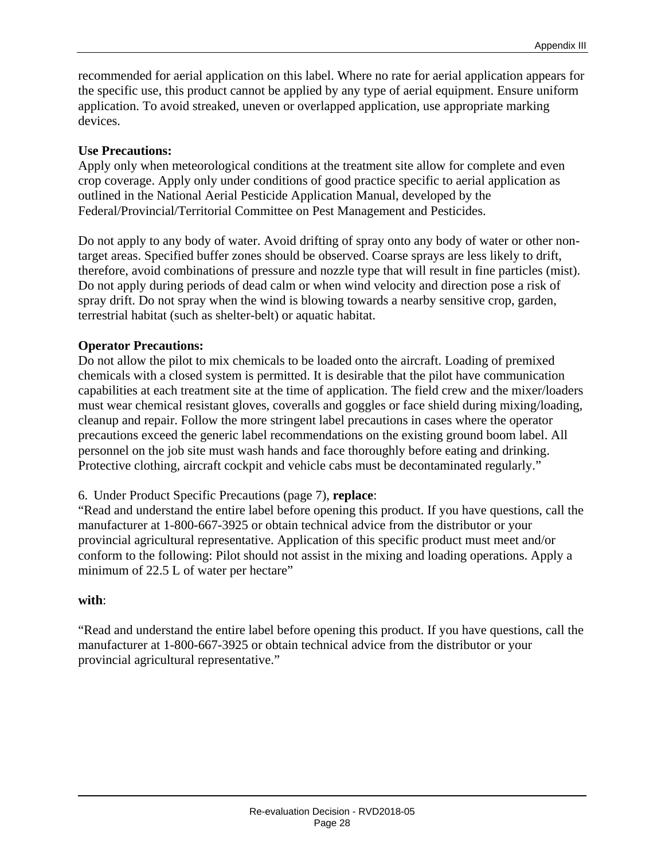recommended for aerial application on this label. Where no rate for aerial application appears for the specific use, this product cannot be applied by any type of aerial equipment. Ensure uniform application. To avoid streaked, uneven or overlapped application, use appropriate marking devices.

#### **Use Precautions:**

Apply only when meteorological conditions at the treatment site allow for complete and even crop coverage. Apply only under conditions of good practice specific to aerial application as outlined in the National Aerial Pesticide Application Manual, developed by the Federal/Provincial/Territorial Committee on Pest Management and Pesticides.

Do not apply to any body of water. Avoid drifting of spray onto any body of water or other nontarget areas. Specified buffer zones should be observed. Coarse sprays are less likely to drift, therefore, avoid combinations of pressure and nozzle type that will result in fine particles (mist). Do not apply during periods of dead calm or when wind velocity and direction pose a risk of spray drift. Do not spray when the wind is blowing towards a nearby sensitive crop, garden, terrestrial habitat (such as shelter-belt) or aquatic habitat.

#### **Operator Precautions:**

Do not allow the pilot to mix chemicals to be loaded onto the aircraft. Loading of premixed chemicals with a closed system is permitted. It is desirable that the pilot have communication capabilities at each treatment site at the time of application. The field crew and the mixer/loaders must wear chemical resistant gloves, coveralls and goggles or face shield during mixing/loading, cleanup and repair. Follow the more stringent label precautions in cases where the operator precautions exceed the generic label recommendations on the existing ground boom label. All personnel on the job site must wash hands and face thoroughly before eating and drinking. Protective clothing, aircraft cockpit and vehicle cabs must be decontaminated regularly."

#### 6. Under Product Specific Precautions (page 7), **replace**:

"Read and understand the entire label before opening this product. If you have questions, call the manufacturer at 1-800-667-3925 or obtain technical advice from the distributor or your provincial agricultural representative. Application of this specific product must meet and/or conform to the following: Pilot should not assist in the mixing and loading operations. Apply a minimum of 22.5 L of water per hectare"

#### **with**:

"Read and understand the entire label before opening this product. If you have questions, call the manufacturer at 1-800-667-3925 or obtain technical advice from the distributor or your provincial agricultural representative."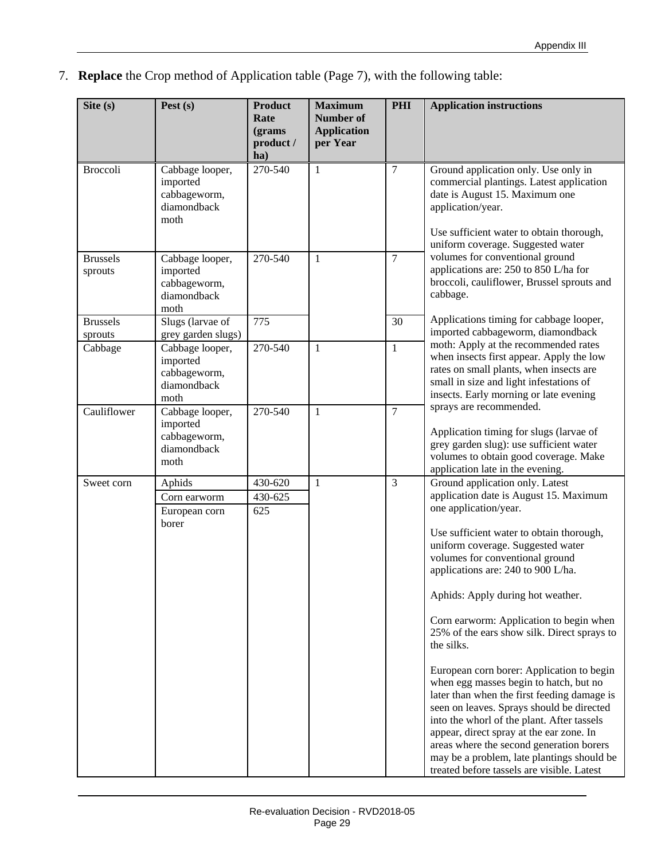7. **Replace** the Crop method of Application table (Page 7), with the following table:

| Site $(s)$                 | Pest $(s)$                                                         | <b>Product</b><br>Rate<br>(grams)<br>product /<br>ha) | <b>Maximum</b><br><b>Number of</b><br><b>Application</b><br>per Year | <b>PHI</b>     | <b>Application instructions</b>                                                                                                                                                                                                                                                                                                                                                                                                                                                                                                                                                                                                                                                                                                                                                                                                |
|----------------------------|--------------------------------------------------------------------|-------------------------------------------------------|----------------------------------------------------------------------|----------------|--------------------------------------------------------------------------------------------------------------------------------------------------------------------------------------------------------------------------------------------------------------------------------------------------------------------------------------------------------------------------------------------------------------------------------------------------------------------------------------------------------------------------------------------------------------------------------------------------------------------------------------------------------------------------------------------------------------------------------------------------------------------------------------------------------------------------------|
| <b>Broccoli</b>            | Cabbage looper,<br>imported<br>cabbageworm,<br>diamondback<br>moth | 270-540                                               | $\mathbf{1}$                                                         | 7              | Ground application only. Use only in<br>commercial plantings. Latest application<br>date is August 15. Maximum one<br>application/year.<br>Use sufficient water to obtain thorough,<br>uniform coverage. Suggested water                                                                                                                                                                                                                                                                                                                                                                                                                                                                                                                                                                                                       |
| <b>Brussels</b><br>sprouts | Cabbage looper,<br>imported<br>cabbageworm,<br>diamondback<br>moth | 270-540                                               | 1                                                                    | 7              | volumes for conventional ground<br>applications are: 250 to 850 L/ha for<br>broccoli, cauliflower, Brussel sprouts and<br>cabbage.                                                                                                                                                                                                                                                                                                                                                                                                                                                                                                                                                                                                                                                                                             |
| <b>Brussels</b><br>sprouts | Slugs (larvae of<br>grey garden slugs)                             | 775                                                   |                                                                      | 30             | Applications timing for cabbage looper,<br>imported cabbageworm, diamondback                                                                                                                                                                                                                                                                                                                                                                                                                                                                                                                                                                                                                                                                                                                                                   |
| Cabbage                    | Cabbage looper,<br>imported<br>cabbageworm,<br>diamondback<br>moth | 270-540                                               | $\mathbf{1}$                                                         | $\mathbf{1}$   | moth: Apply at the recommended rates<br>when insects first appear. Apply the low<br>rates on small plants, when insects are<br>small in size and light infestations of<br>insects. Early morning or late evening                                                                                                                                                                                                                                                                                                                                                                                                                                                                                                                                                                                                               |
| Cauliflower                | Cabbage looper,<br>imported<br>cabbageworm,<br>diamondback<br>moth | 270-540                                               | $\mathbf{1}$                                                         | $\overline{7}$ | sprays are recommended.<br>Application timing for slugs (larvae of<br>grey garden slug): use sufficient water<br>volumes to obtain good coverage. Make<br>application late in the evening.                                                                                                                                                                                                                                                                                                                                                                                                                                                                                                                                                                                                                                     |
| Sweet corn                 | Aphids<br>Corn earworm<br>European corn<br>borer                   | 430-620<br>430-625<br>625                             | $\mathbf{1}$                                                         | 3              | Ground application only. Latest<br>application date is August 15. Maximum<br>one application/year.<br>Use sufficient water to obtain thorough,<br>uniform coverage. Suggested water<br>volumes for conventional ground<br>applications are: 240 to 900 L/ha.<br>Aphids: Apply during hot weather.<br>Corn earworm: Application to begin when<br>25% of the ears show silk. Direct sprays to<br>the silks.<br>European corn borer: Application to begin<br>when egg masses begin to hatch, but no<br>later than when the first feeding damage is<br>seen on leaves. Sprays should be directed<br>into the whorl of the plant. After tassels<br>appear, direct spray at the ear zone. In<br>areas where the second generation borers<br>may be a problem, late plantings should be<br>treated before tassels are visible. Latest |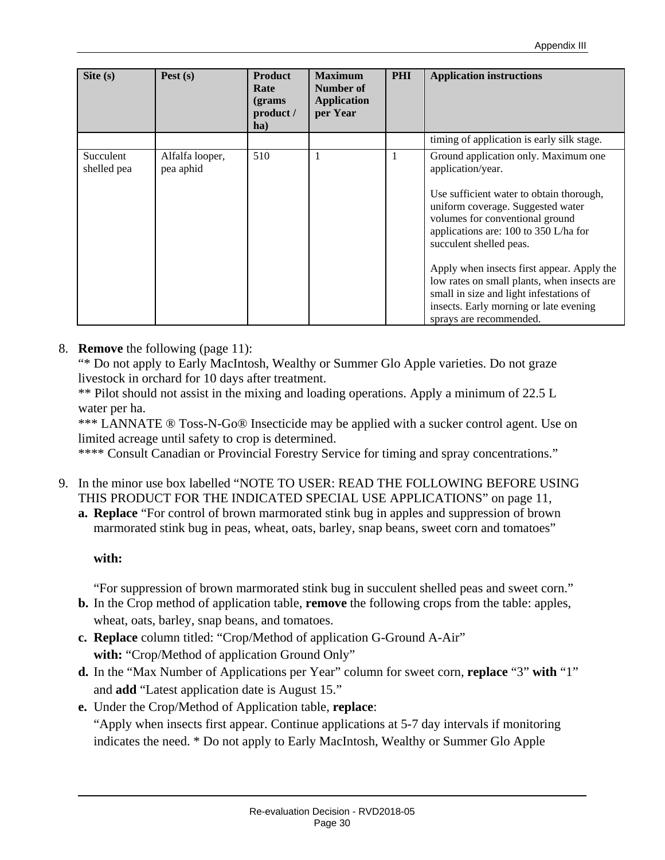| Site $(s)$               | Pest $(s)$                   | <b>Product</b><br>Rate<br>(grams)<br>product /<br>ha) | <b>Maximum</b><br>Number of<br><b>Application</b><br>per Year | <b>PHI</b> | <b>Application instructions</b>                                                                                                                                                                                                                                                                                                                                                                                                                                |
|--------------------------|------------------------------|-------------------------------------------------------|---------------------------------------------------------------|------------|----------------------------------------------------------------------------------------------------------------------------------------------------------------------------------------------------------------------------------------------------------------------------------------------------------------------------------------------------------------------------------------------------------------------------------------------------------------|
|                          |                              |                                                       |                                                               |            | timing of application is early silk stage.                                                                                                                                                                                                                                                                                                                                                                                                                     |
| Succulent<br>shelled pea | Alfalfa looper,<br>pea aphid | 510                                                   | 1                                                             | 1          | Ground application only. Maximum one<br>application/year.<br>Use sufficient water to obtain thorough,<br>uniform coverage. Suggested water<br>volumes for conventional ground<br>applications are: 100 to 350 L/ha for<br>succulent shelled peas.<br>Apply when insects first appear. Apply the<br>low rates on small plants, when insects are<br>small in size and light infestations of<br>insects. Early morning or late evening<br>sprays are recommended. |

#### 8. **Remove** the following (page 11):

"\* Do not apply to Early MacIntosh, Wealthy or Summer Glo Apple varieties. Do not graze livestock in orchard for 10 days after treatment.

\*\* Pilot should not assist in the mixing and loading operations. Apply a minimum of 22.5 L water per ha.

\*\*\* LANNATE ® Toss-N-Go® Insecticide may be applied with a sucker control agent. Use on limited acreage until safety to crop is determined.

\*\*\*\* Consult Canadian or Provincial Forestry Service for timing and spray concentrations."

- 9. In the minor use box labelled "NOTE TO USER: READ THE FOLLOWING BEFORE USING THIS PRODUCT FOR THE INDICATED SPECIAL USE APPLICATIONS" on page 11,
	- **a. Replace** "For control of brown marmorated stink bug in apples and suppression of brown marmorated stink bug in peas, wheat, oats, barley, snap beans, sweet corn and tomatoes"

#### **with:**

"For suppression of brown marmorated stink bug in succulent shelled peas and sweet corn." **b.** In the Crop method of application table, **remove** the following crops from the table: apples,

- wheat, oats, barley, snap beans, and tomatoes.
- **c. Replace** column titled: "Crop/Method of application G-Ground A-Air" with: "Crop/Method of application Ground Only"
- **d.** In the "Max Number of Applications per Year" column for sweet corn, **replace** "3" **with** "1" and **add** "Latest application date is August 15."
- **e.** Under the Crop/Method of Application table, **replace**: "Apply when insects first appear. Continue applications at 5-7 day intervals if monitoring indicates the need. \* Do not apply to Early MacIntosh, Wealthy or Summer Glo Apple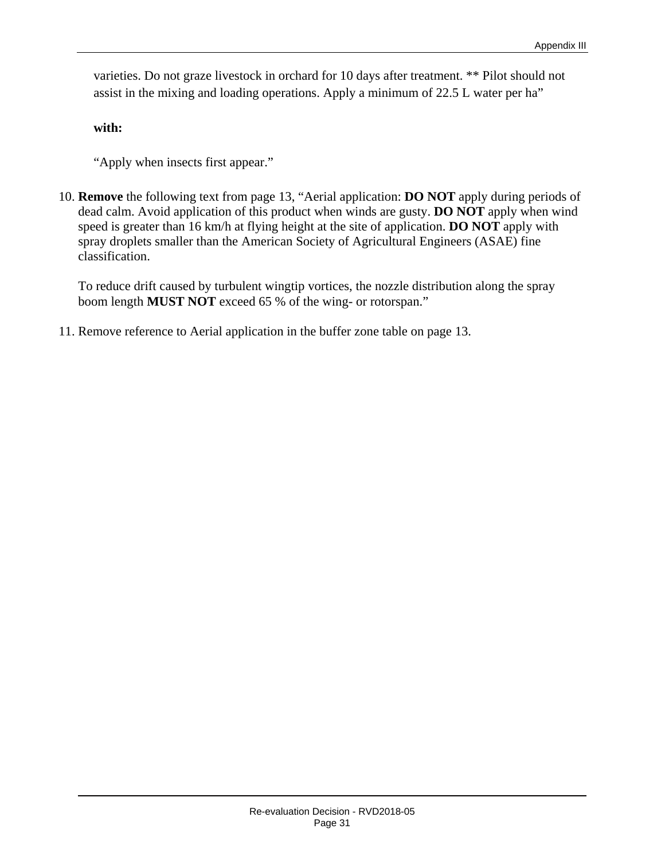varieties. Do not graze livestock in orchard for 10 days after treatment. \*\* Pilot should not assist in the mixing and loading operations. Apply a minimum of 22.5 L water per ha"

**with:**

"Apply when insects first appear."

10. **Remove** the following text from page 13, "Aerial application: **DO NOT** apply during periods of dead calm. Avoid application of this product when winds are gusty. **DO NOT** apply when wind speed is greater than 16 km/h at flying height at the site of application. **DO NOT** apply with spray droplets smaller than the American Society of Agricultural Engineers (ASAE) fine classification.

To reduce drift caused by turbulent wingtip vortices, the nozzle distribution along the spray boom length **MUST NOT** exceed 65 % of the wing- or rotorspan."

11. Remove reference to Aerial application in the buffer zone table on page 13.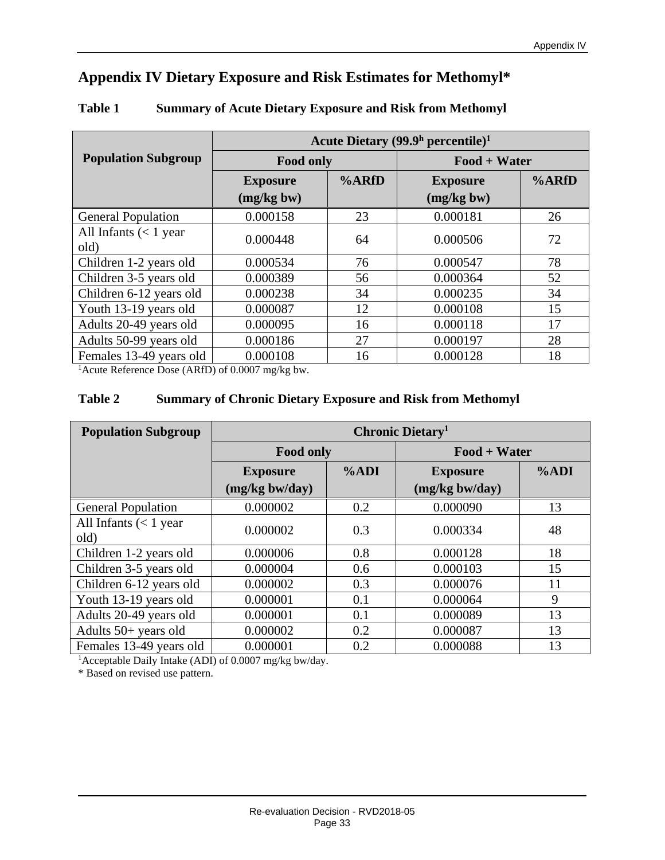## **Appendix IV Dietary Exposure and Risk Estimates for Methomyl\***

|                                 | Acute Dietary $(99.9h$ percentile) <sup>1</sup> |    |                 |       |  |  |  |
|---------------------------------|-------------------------------------------------|----|-----------------|-------|--|--|--|
| <b>Population Subgroup</b>      | <b>Food only</b><br>%ARfD<br><b>Exposure</b>    |    | $Food + Water$  |       |  |  |  |
|                                 |                                                 |    | <b>Exposure</b> | %ARfD |  |  |  |
|                                 | (mg/kg bw)                                      |    | (mg/kg bw)      |       |  |  |  |
| <b>General Population</b>       | 0.000158                                        | 23 | 0.000181        | 26    |  |  |  |
| All Infants $(< 1$ year<br>old) | 0.000448                                        | 64 | 0.000506        | 72    |  |  |  |
| Children 1-2 years old          | 0.000534                                        | 76 | 0.000547        | 78    |  |  |  |
| Children 3-5 years old          | 0.000389                                        | 56 | 0.000364        | 52    |  |  |  |
| Children 6-12 years old         | 0.000238                                        | 34 | 0.000235        | 34    |  |  |  |
| Youth 13-19 years old           | 0.000087                                        | 12 | 0.000108        | 15    |  |  |  |
| Adults 20-49 years old          | 0.000095                                        | 16 | 0.000118        | 17    |  |  |  |
| Adults 50-99 years old          | 0.000186                                        | 27 | 0.000197        | 28    |  |  |  |
| Females 13-49 years old         | 0.000108                                        | 16 | 0.000128        | 18    |  |  |  |

#### **Table 1 Summary of Acute Dietary Exposure and Risk from Methomyl**

<sup>1</sup> Acute Reference Dose (ARfD) of 0.0007 mg/kg bw.

#### **Table 2 Summary of Chronic Dietary Exposure and Risk from Methomyl**

| <b>Population Subgroup</b>      | Chronic Dietary <sup>1</sup> |      |                  |      |  |  |
|---------------------------------|------------------------------|------|------------------|------|--|--|
|                                 | <b>Food only</b>             |      | $Food + Water$   |      |  |  |
|                                 | <b>Exposure</b>              | %ADI | <b>Exposure</b>  | %ADI |  |  |
|                                 | $(mg/kg$ bw/day)             |      | $(mg/kg$ bw/day) |      |  |  |
| <b>General Population</b>       | 0.000002                     | 0.2  | 0.000090         | 13   |  |  |
| All Infants $(< 1$ year<br>old) | 0.000002                     | 0.3  | 0.000334         | 48   |  |  |
| Children 1-2 years old          | 0.000006                     | 0.8  | 0.000128         | 18   |  |  |
| Children 3-5 years old          | 0.000004                     | 0.6  | 0.000103         | 15   |  |  |
| Children 6-12 years old         | 0.000002                     | 0.3  | 0.000076         | 11   |  |  |
| Youth 13-19 years old           | 0.000001                     | 0.1  | 0.000064         | 9    |  |  |
| Adults 20-49 years old          | 0.000001                     | 0.1  | 0.000089         | 13   |  |  |
| Adults 50+ years old            | 0.000002                     | 0.2  | 0.000087         | 13   |  |  |
| Females 13-49 years old         | 0.000001                     | 0.2  | 0.000088         | 13   |  |  |

<sup>1</sup>Acceptable Daily Intake (ADI) of 0.0007 mg/kg bw/day.

\* Based on revised use pattern.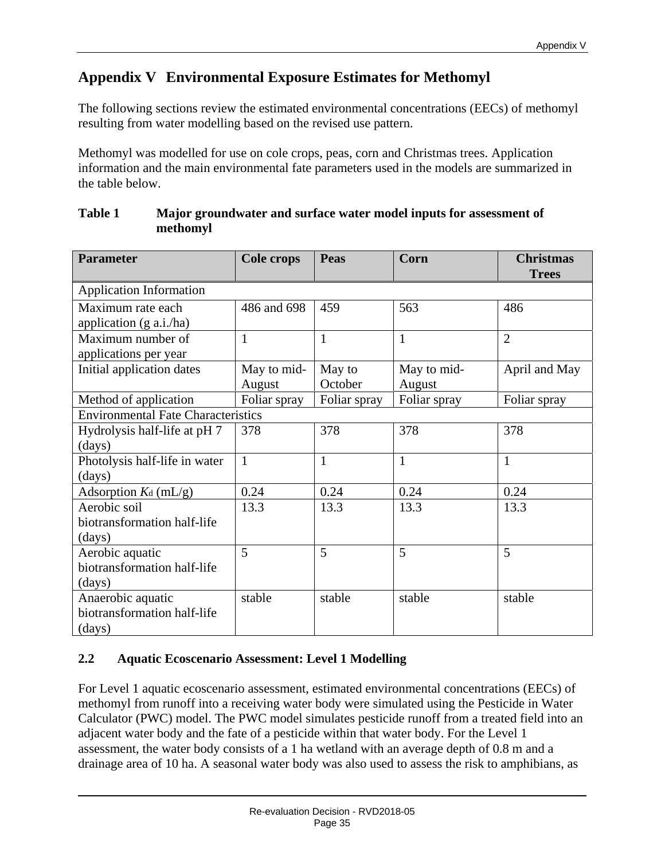## **Appendix V Environmental Exposure Estimates for Methomyl**

The following sections review the estimated environmental concentrations (EECs) of methomyl resulting from water modelling based on the revised use pattern.

Methomyl was modelled for use on cole crops, peas, corn and Christmas trees. Application information and the main environmental fate parameters used in the models are summarized in the table below.

| <b>Parameter</b>                          | <b>Cole crops</b> | Peas         | Corn         | <b>Christmas</b> |
|-------------------------------------------|-------------------|--------------|--------------|------------------|
|                                           |                   |              |              | <b>Trees</b>     |
| <b>Application Information</b>            |                   |              |              |                  |
| Maximum rate each                         | 486 and 698       | 459          | 563          | 486              |
| application (g a.i./ha)                   |                   |              |              |                  |
| Maximum number of                         | $\mathbf{1}$      | $\mathbf{1}$ | $\mathbf{1}$ | $\overline{2}$   |
| applications per year                     |                   |              |              |                  |
| Initial application dates                 | May to mid-       | May to       | May to mid-  | April and May    |
|                                           | August            | October      | August       |                  |
| Method of application                     | Foliar spray      | Foliar spray | Foliar spray | Foliar spray     |
| <b>Environmental Fate Characteristics</b> |                   |              |              |                  |
| Hydrolysis half-life at pH 7              | 378               | 378          | 378          | 378              |
| (days)                                    |                   |              |              |                  |
| Photolysis half-life in water             | $\mathbf{1}$      | $\mathbf{1}$ | $\mathbf{1}$ | $\mathbf{1}$     |
| (days)                                    |                   |              |              |                  |
| Adsorption $K_d$ (mL/g)                   | 0.24              | 0.24         | 0.24         | 0.24             |
| Aerobic soil                              | 13.3              | 13.3         | 13.3         | 13.3             |
| biotransformation half-life               |                   |              |              |                  |
| (days)                                    |                   |              |              |                  |
| Aerobic aquatic                           | 5                 | 5            | 5            | 5                |
| biotransformation half-life               |                   |              |              |                  |
| (days)                                    |                   |              |              |                  |
| Anaerobic aquatic                         | stable            | stable       | stable       | stable           |
| biotransformation half-life               |                   |              |              |                  |
| (days)                                    |                   |              |              |                  |

#### **Table 1 Major groundwater and surface water model inputs for assessment of methomyl**

#### **2.2 Aquatic Ecoscenario Assessment: Level 1 Modelling**

For Level 1 aquatic ecoscenario assessment, estimated environmental concentrations (EECs) of methomyl from runoff into a receiving water body were simulated using the Pesticide in Water Calculator (PWC) model. The PWC model simulates pesticide runoff from a treated field into an adjacent water body and the fate of a pesticide within that water body. For the Level 1 assessment, the water body consists of a 1 ha wetland with an average depth of 0.8 m and a drainage area of 10 ha. A seasonal water body was also used to assess the risk to amphibians, as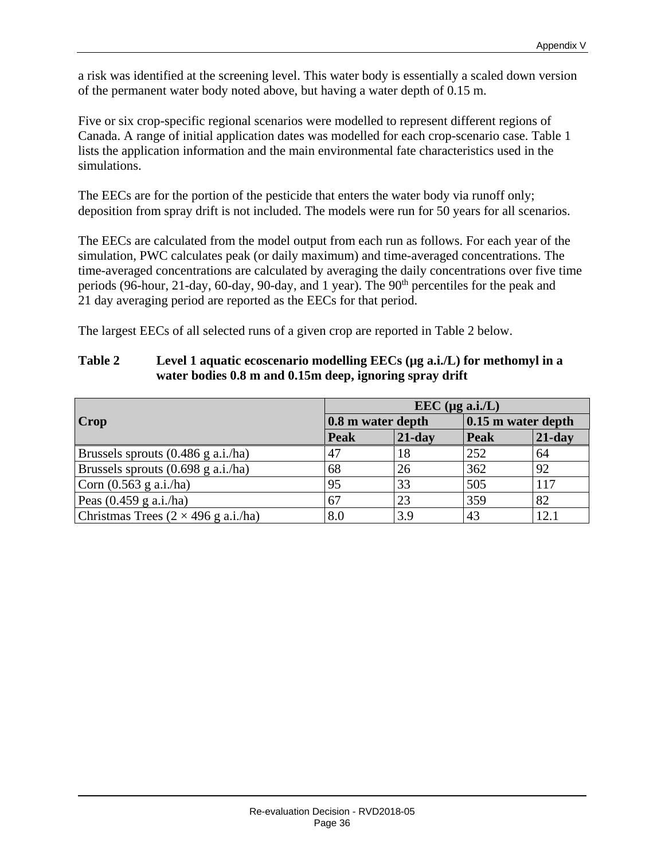a risk was identified at the screening level. This water body is essentially a scaled down version of the permanent water body noted above, but having a water depth of 0.15 m.

Five or six crop-specific regional scenarios were modelled to represent different regions of Canada. A range of initial application dates was modelled for each crop-scenario case. Table 1 lists the application information and the main environmental fate characteristics used in the simulations.

The EECs are for the portion of the pesticide that enters the water body via runoff only; deposition from spray drift is not included. The models were run for 50 years for all scenarios.

The EECs are calculated from the model output from each run as follows. For each year of the simulation, PWC calculates peak (or daily maximum) and time-averaged concentrations. The time-averaged concentrations are calculated by averaging the daily concentrations over five time periods (96-hour, 21-day, 60-day, 90-day, and 1 year). The 90<sup>th</sup> percentiles for the peak and 21 day averaging period are reported as the EECs for that period.

The largest EECs of all selected runs of a given crop are reported in Table 2 below.

|                                              | $\text{EEC}$ (µg a.i./L) |           |             |                      |  |  |
|----------------------------------------------|--------------------------|-----------|-------------|----------------------|--|--|
| Crop                                         | 0.8 m water depth        |           |             | $0.15$ m water depth |  |  |
|                                              | Peak                     | $21$ -day | <b>Peak</b> | $21$ -day            |  |  |
| Brussels sprouts $(0.486 \text{ g a.i./ha})$ | 47                       | 18        | 252         | 64                   |  |  |
| Brussels sprouts $(0.698 \text{ g a.i./ha})$ | 68                       | 26        | 362         | 92                   |  |  |
| Corn $(0.563$ g a.i./ha)                     | 95                       | 33        | 505         | 117                  |  |  |
| Peas $(0.459 \text{ g a.i./ha})$             | 67                       | 23        | 359         | 82                   |  |  |
| Christmas Trees $(2 \times 496$ g a.i./ha)   | 8.0                      | 3.9       | 43          | 12.1                 |  |  |

#### **Table 2 Level 1 aquatic ecoscenario modelling EECs (µg a.i./L) for methomyl in a water bodies 0.8 m and 0.15m deep, ignoring spray drift**